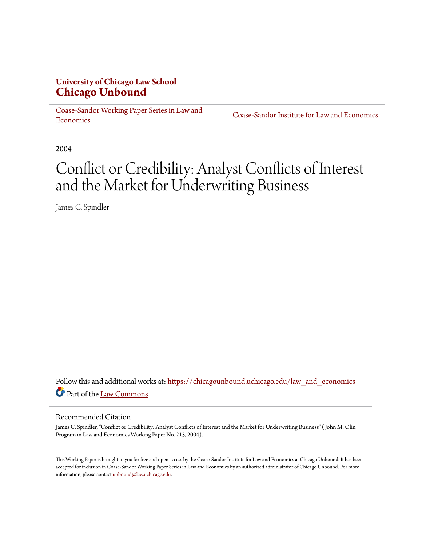## **University of Chicago Law School [Chicago Unbound](https://chicagounbound.uchicago.edu?utm_source=chicagounbound.uchicago.edu%2Flaw_and_economics%2F116&utm_medium=PDF&utm_campaign=PDFCoverPages)**

[Coase-Sandor Working Paper Series in Law and](https://chicagounbound.uchicago.edu/law_and_economics?utm_source=chicagounbound.uchicago.edu%2Flaw_and_economics%2F116&utm_medium=PDF&utm_campaign=PDFCoverPages) [Economics](https://chicagounbound.uchicago.edu/law_and_economics?utm_source=chicagounbound.uchicago.edu%2Flaw_and_economics%2F116&utm_medium=PDF&utm_campaign=PDFCoverPages)

[Coase-Sandor Institute for Law and Economics](https://chicagounbound.uchicago.edu/coase_sandor_institute?utm_source=chicagounbound.uchicago.edu%2Flaw_and_economics%2F116&utm_medium=PDF&utm_campaign=PDFCoverPages)

2004

# Conflict or Credibility: Analyst Conflicts of Interest and the Market for Underwriting Business

James C. Spindler

Follow this and additional works at: [https://chicagounbound.uchicago.edu/law\\_and\\_economics](https://chicagounbound.uchicago.edu/law_and_economics?utm_source=chicagounbound.uchicago.edu%2Flaw_and_economics%2F116&utm_medium=PDF&utm_campaign=PDFCoverPages) Part of the [Law Commons](http://network.bepress.com/hgg/discipline/578?utm_source=chicagounbound.uchicago.edu%2Flaw_and_economics%2F116&utm_medium=PDF&utm_campaign=PDFCoverPages)

#### Recommended Citation

James C. Spindler, "Conflict or Credibility: Analyst Conflicts of Interest and the Market for Underwriting Business" ( John M. Olin Program in Law and Economics Working Paper No. 215, 2004).

This Working Paper is brought to you for free and open access by the Coase-Sandor Institute for Law and Economics at Chicago Unbound. It has been accepted for inclusion in Coase-Sandor Working Paper Series in Law and Economics by an authorized administrator of Chicago Unbound. For more information, please contact [unbound@law.uchicago.edu.](mailto:unbound@law.uchicago.edu)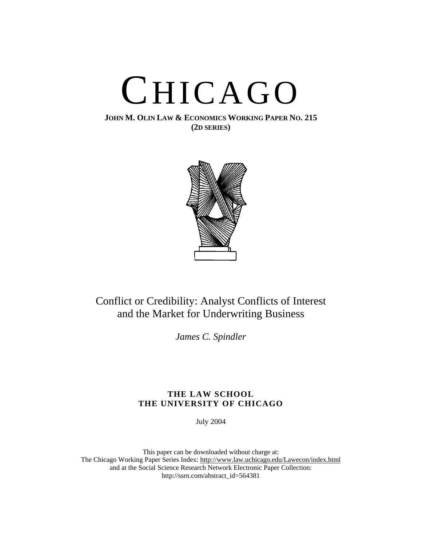

**JOHN M. OLIN LAW & ECONOMICS WORKING PAPER NO. 215 (2D SERIES)**



# Conflict or Credibility: Analyst Conflicts of Interest and the Market for Underwriting Business

*James C. Spindler*

### **THE LAW SCHOOL THE UNIVERSITY OF CHICAGO**

July 2004

This paper can be downloaded without charge at: The Chicago Working Paper Series Index: [http://www.law.uchicago.edu/Lawecon/index.html](http://www.law.uchicago.edu/Publications/Working/index.html) and at the Social Science Research Network Electronic Paper Collection: [http://ssrn.com/abstract\\_id=564381](http://papers.ssrn.com/sol3/search.taf)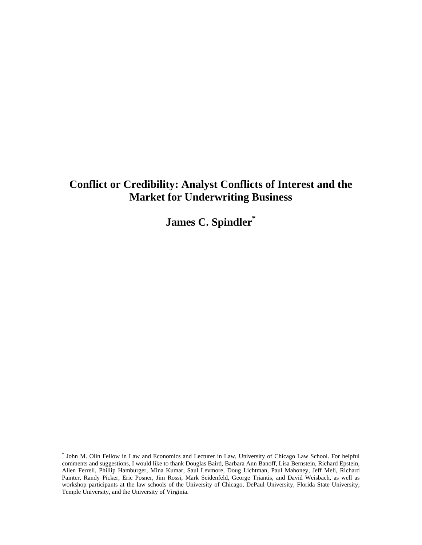# **Conflict or Credibility: Analyst Conflicts of Interest and the Market for Underwriting Business**

**James C. Spindle[r\\*](#page-2-0)**

 $\overline{a}$ 

<span id="page-2-0"></span><sup>\*</sup> John M. Olin Fellow in Law and Economics and Lecturer in Law, University of Chicago Law School. For helpful comments and suggestions, I would like to thank Douglas Baird, Barbara Ann Banoff, Lisa Bernstein, Richard Epstein, Allen Ferrell, Phillip Hamburger, Mina Kumar, Saul Levmore, Doug Lichtman, Paul Mahoney, Jeff Meli, Richard Painter, Randy Picker, Eric Posner, Jim Rossi, Mark Seidenfeld, George Triantis, and David Weisbach, as well as workshop participants at the law schools of the University of Chicago, DePaul University, Florida State University, Temple University, and the University of Virginia.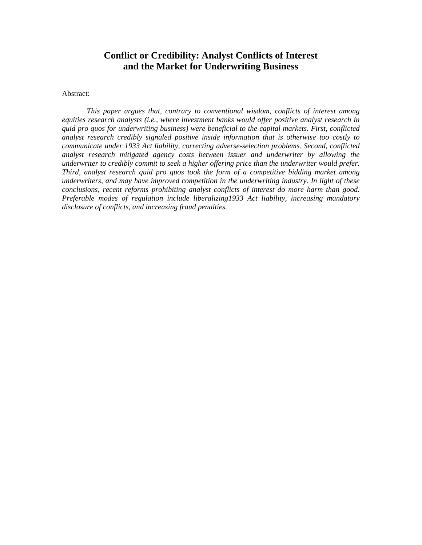# **Conflict or Credibility: Analyst Conflicts of Interest and the Market for Underwriting Business**

Abstract:

*This paper argues that, contrary to conventional wisdom, conflicts of interest among equities research analysts (i.e., where investment banks would offer positive analyst research in quid pro quos for underwriting business) were beneficial to the capital markets. First, conflicted analyst research credibly signaled positive inside information that is otherwise too costly to communicate under 1933 Act liability, correcting adverse-selection problems. Second, conflicted analyst research mitigated agency costs between issuer and underwriter by allowing the underwriter to credibly commit to seek a higher offering price than the underwriter would prefer. Third, analyst research quid pro quos took the form of a competitive bidding market among underwriters, and may have improved competition in the underwriting industry. In light of these conclusions, recent reforms prohibiting analyst conflicts of interest do more harm than good. Preferable modes of regulation include liberalizing1933 Act liability, increasing mandatory disclosure of conflicts, and increasing fraud penalties.*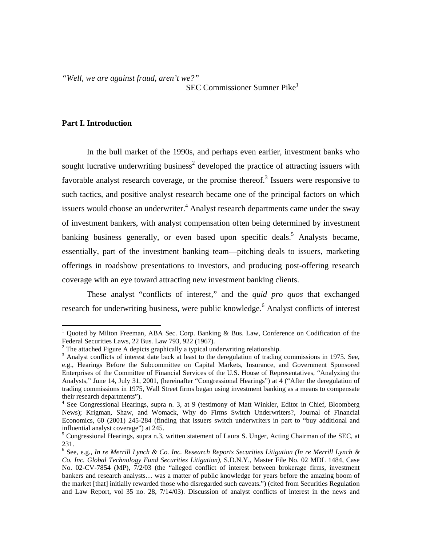<span id="page-4-5"></span>*"Well, we are against fraud, aren't we?"* 

**SEC Commissioner Sumner Pike<sup>[1](#page-4-0)</sup>** 

### **Part I. Introduction**

 $\overline{a}$ 

In the bull market of the 1990s, and perhaps even earlier, investment banks who sought lucrative underwriting business<sup>[2](#page-4-1)</sup> developed the practice of attracting issuers with favorable analyst research coverage, or the promise thereof.<sup>[3](#page-4-2)</sup> Issuers were responsive to such tactics, and positive analyst research became one of the principal factors on which issuers would choose an underwriter.<sup>[4](#page-4-3)</sup> Analyst research departments came under the sway of investment bankers, with analyst compensation often being determined by investment banking business generally, or even based upon specific deals.<sup>5</sup> Analysts became, essentially, part of the investment banking team—pitching deals to issuers, marketing offerings in roadshow presentations to investors, and producing post-offering research coverage with an eye toward attracting new investment banking clients.

 These analyst "conflicts of interest," and the *quid pro quos* that exchanged research for underwriting business, were public knowledge.<sup>[6](#page-4-5)</sup> Analyst conflicts of interest

<span id="page-4-0"></span><sup>&</sup>lt;sup>1</sup> Quoted by Milton Freeman, ABA Sec. Corp. Banking & Bus. Law, Conference on Codification of the Federal Securities Laws, 22 Bus. Law 793, 922 (1967).

<span id="page-4-1"></span><sup>&</sup>lt;sup>2</sup> The attached Figure A depicts graphically a typical underwriting relationship.  $\frac{3}{2}$  A polyst conflicts of interest data hack at least to the deregulation of treding

<span id="page-4-2"></span><sup>&</sup>lt;sup>3</sup> Analyst conflicts of interest date back at least to the deregulation of trading commissions in 1975. See, e.g., Hearings Before the Subcommittee on Capital Markets, Insurance, and Government Sponsored Enterprises of the Committee of Financial Services of the U.S. House of Representatives, "Analyzing the Analysts," June 14, July 31, 2001, (hereinafter "Congressional Hearings") at 4 ("After the deregulation of trading commissions in 1975, Wall Street firms began using investment banking as a means to compensate their research departments").

<span id="page-4-3"></span><sup>&</sup>lt;sup>4</sup> See Congressional Hearings, supra n. 3, at 9 (testimony of Matt Winkler, Editor in Chief, Bloomberg News); Krigman, Shaw, and Womack, Why do Firms Switch Underwriters?, Journal of Financial Economics, 60 (2001) 245-284 (finding that issuers switch underwriters in part to "buy additional and influential analyst coverage") at 245.

<span id="page-4-4"></span><sup>&</sup>lt;sup>5</sup> Congressional Hearings, supra n.3, written statement of Laura S. Unger, Acting Chairman of the SEC, at 231.

<sup>6</sup> See, e.g., *In re Merrill Lynch & Co. Inc. Research Reports Securities Litigation (In re Merrill Lynch & Co. Inc. Global Technology Fund Securities Litigation)*, S.D.N.Y., Master File No. 02 MDL 1484, Case No. 02-CV-7854 (MP), 7/2/03 (the "alleged conflict of interest between brokerage firms, investment bankers and research analysts… was a matter of public knowledge for years before the amazing boom of the market [that] initially rewarded those who disregarded such caveats.") (cited from Securities Regulation and Law Report, vol 35 no. 28, 7/14/03). Discussion of analyst conflicts of interest in the news and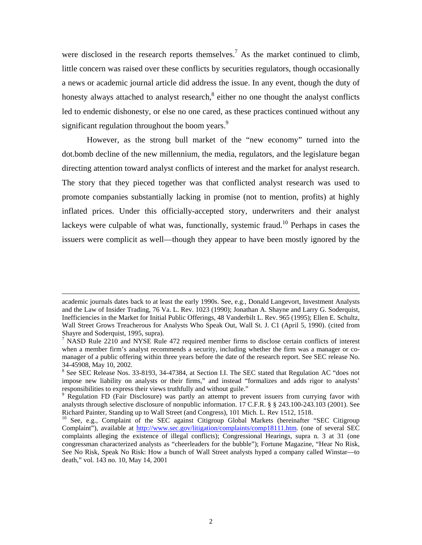were disclosed in the research reports themselves.<sup>[7](#page-5-0)</sup> As the market continued to climb, little concern was raised over these conflicts by securities regulators, though occasionally a news or academic journal article did address the issue. In any event, though the duty of honesty always attached to analyst research,<sup>8</sup> either no one thought the analyst conflicts led to endemic dishonesty, or else no one cared, as these practices continued without any significant regulation throughout the boom years.<sup>[9](#page-5-2)</sup>

However, as the strong bull market of the "new economy" turned into the dot.bomb decline of the new millennium, the media, regulators, and the legislature began directing attention toward analyst conflicts of interest and the market for analyst research. The story that they pieced together was that conflicted analyst research was used to promote companies substantially lacking in promise (not to mention, profits) at highly inflated prices. Under this officially-accepted story, underwriters and their analyst lackeys were culpable of what was, functionally, systemic fraud.<sup>10</sup> Perhaps in cases the issuers were complicit as well—though they appear to have been mostly ignored by the

1

academic journals dates back to at least the early 1990s. See, e.g., Donald Langevort, Investment Analysts and the Law of Insider Trading, 76 Va. L. Rev. 1023 (1990); Jonathan A. Shayne and Larry G. Soderquist, Inefficiencies in the Market for Initial Public Offerings, 48 Vanderbilt L. Rev. 965 (1995); Ellen E. Schultz, Wall Street Grows Treacherous for Analysts Who Speak Out, Wall St. J. C1 (April 5, 1990). (cited from Shayre and Soderquist, 1995, supra).<br><sup>7</sup> NASD Rule 2210 and NYSE Rule 472 required member firms to disclose certain conflicts of interest

<span id="page-5-0"></span>when a member firm's analyst recommends a security, including whether the firm was a manager or comanager of a public offering within three years before the date of the research report. See SEC release No. 34-45908, May 10, 2002. 8

<span id="page-5-1"></span><sup>&</sup>lt;sup>8</sup> See SEC Release Nos. 33-8193, 34-47384, at Section I.I. The SEC stated that Regulation AC "does not impose new liability on analysts or their firms," and instead "formalizes and adds rigor to analysts' responsibilities to express their views truthfully and without guile." 9

<span id="page-5-2"></span><sup>&</sup>lt;sup>9</sup> Regulation FD (Fair Disclosure) was partly an attempt to prevent issuers from currying favor with analysts through selective disclosure of nonpublic information. 17 C.F.R. § § 243.100-243.103 (2001). See Richard Painter, Standing up to Wall Street (and Congress), 101 Mich. L. Rev 1512, 1518.<br><sup>10</sup> See, e.g., Complaint of the SEC against Citigroup Global Markets (hereinafter "SEC Citigroup

<span id="page-5-3"></span>Complaint"), available at <http://www.sec.gov/litigation/complaints/comp18111.htm>. (one of several SEC complaints alleging the existence of illegal conflicts); Congressional Hearings, supra n. 3 at 31 (one congressman characterized analysts as "cheerleaders for the bubble"); Fortune Magazine, "Hear No Risk, See No Risk, Speak No Risk: How a bunch of Wall Street analysts hyped a company called Winstar—to death," vol. 143 no. 10, May 14, 2001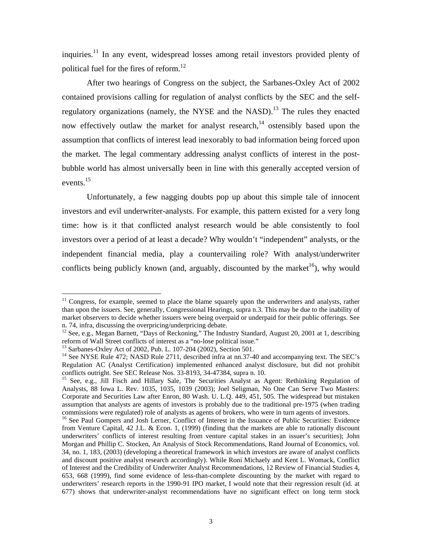<span id="page-6-5"></span>inquiries.<sup>11</sup> In any event, widespread losses among retail investors provided plenty of political fuel for the fires of reform. [12](#page-6-1) 

After two hearings of Congress on the subject, the Sarbanes-Oxley Act of 2002 contained provisions calling for regulation of analyst conflicts by the SEC and the selfregulatory organizations (namely, the NYSE and the NASD).<sup>13</sup> The rules they enacted now effectively outlaw the market for analyst research,<sup>14</sup> ostensibly based upon the assumption that conflicts of interest lead inexorably to bad information being forced upon the market. The legal commentary addressing analyst conflicts of interest in the postbubble world has almost universally been in line with this generally accepted version of events.<sup>15</sup>

Unfortunately, a few nagging doubts pop up about this simple tale of innocent investors and evil underwriter-analysts. For example, this pattern existed for a very long time: how is it that conflicted analyst research would be able consistently to fool investors over a period of at least a decade? Why wouldn't "independent" analysts, or the independent financial media, play a countervailing role? With analyst/underwriter conflicts being publicly known (and, arguably, discounted by the market<sup>16</sup>), why would

<span id="page-6-0"></span><sup>&</sup>lt;sup>11</sup> Congress, for example, seemed to place the blame squarely upon the underwriters and analysts, rather than upon the issuers. See, generally, Congressional Hearings, supra n.3. This may be due to the inability of market observers to decide whether issuers were being overpaid or underpaid for their public offerings. See n. 74, infra, discussing the overpricing/underpricing debate.

<span id="page-6-1"></span><sup>&</sup>lt;sup>12</sup> See, e.g., Megan Barnett, "Days of Reckoning," The Industry Standard, August 20, 2001 at 1, describing reform of Wall Street conflicts of interest as a "no-lose political issue."

<span id="page-6-3"></span><span id="page-6-2"></span>

<sup>&</sup>lt;sup>13</sup> Sarbanes-Oxley Act of 2002, Pub. L. 107-204 (2002), Section 501.<br><sup>14</sup> See NYSE Rule 472; NASD Rule 2711, described infra at nn.37-40 and accompanying text. The SEC's Regulation AC (Analyst Certification) implemented enhanced analyst disclosure, but did not prohibit conflicts outright. See SEC Release Nos. 33-8193, 34-47384, supra n. 10.

<span id="page-6-4"></span><sup>&</sup>lt;sup>15</sup> See, e.g., Jill Fisch and Hillary Sale, The Securities Analyst as Agent: Rethinking Regulation of Analysts, 88 Iowa L. Rev. 1035, 1035, 1039 (2003); Joel Seligman, No One Can Serve Two Masters: Corporate and Securities Law after Enron, 80 Wash. U. L.Q. 449, 451, 505. The widespread but mistaken assumption that analysts are agents of investors is probably due to the traditional pre-1975 (when trading commissions were regulated) role of analysts as agents of brokers, who were in turn agents of investors. <sup>16</sup> See Paul Gompers and Josh Lerner, Conflict of Interest in the Issuance of Public Securities: Evidence

from Venture Capital, 42 J.L. & Econ. 1, (1999) (finding that the markets are able to rationally discount underwriters' conflicts of interest resulting from venture capital stakes in an issuer's securities); John Morgan and Phillip C. Stocken, An Analysis of Stock Recommendations, Rand Journal of Economics, vol. 34, no. 1, 183, (2003) (developing a theoretical framework in which investors are aware of analyst conflicts and discount positive analyst research accordingly). While Roni Michaely and Kent L. Womack, Conflict of Interest and the Credibility of Underwriter Analyst Recommendations, 12 Review of Financial Studies 4, 653, 668 (1999), find some evidence of less-than-complete discounting by the market with regard to underwriters' research reports in the 1990-91 IPO market, I would note that their regression result (id. at 677) shows that underwriter-analyst recommendations have no significant effect on long term stock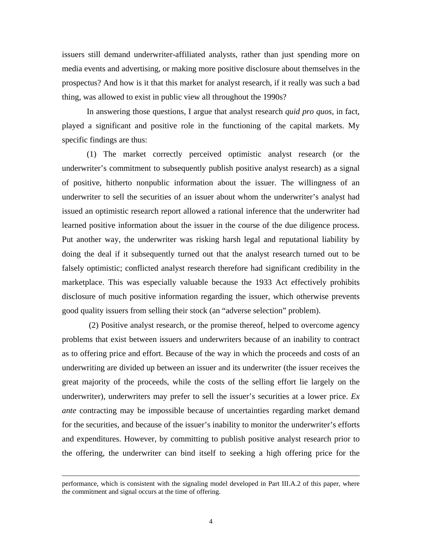issuers still demand underwriter-affiliated analysts, rather than just spending more on media events and advertising, or making more positive disclosure about themselves in the prospectus? And how is it that this market for analyst research, if it really was such a bad thing, was allowed to exist in public view all throughout the 1990s?

In answering those questions, I argue that analyst research *quid pro quos*, in fact, played a significant and positive role in the functioning of the capital markets. My specific findings are thus:

(1) The market correctly perceived optimistic analyst research (or the underwriter's commitment to subsequently publish positive analyst research) as a signal of positive, hitherto nonpublic information about the issuer. The willingness of an underwriter to sell the securities of an issuer about whom the underwriter's analyst had issued an optimistic research report allowed a rational inference that the underwriter had learned positive information about the issuer in the course of the due diligence process. Put another way, the underwriter was risking harsh legal and reputational liability by doing the deal if it subsequently turned out that the analyst research turned out to be falsely optimistic; conflicted analyst research therefore had significant credibility in the marketplace. This was especially valuable because the 1933 Act effectively prohibits disclosure of much positive information regarding the issuer, which otherwise prevents good quality issuers from selling their stock (an "adverse selection" problem).

(2) Positive analyst research, or the promise thereof, helped to overcome agency problems that exist between issuers and underwriters because of an inability to contract as to offering price and effort. Because of the way in which the proceeds and costs of an underwriting are divided up between an issuer and its underwriter (the issuer receives the great majority of the proceeds, while the costs of the selling effort lie largely on the underwriter), underwriters may prefer to sell the issuer's securities at a lower price. *Ex ante* contracting may be impossible because of uncertainties regarding market demand for the securities, and because of the issuer's inability to monitor the underwriter's efforts and expenditures. However, by committing to publish positive analyst research prior to the offering, the underwriter can bind itself to seeking a high offering price for the

 $\overline{a}$ 

performance, which is consistent with the signaling model developed in Part III.A.2 of this paper, where the commitment and signal occurs at the time of offering.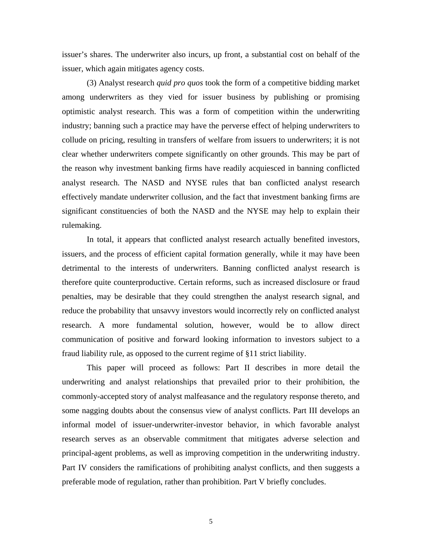issuer's shares. The underwriter also incurs, up front, a substantial cost on behalf of the issuer, which again mitigates agency costs.

(3) Analyst research *quid pro quos* took the form of a competitive bidding market among underwriters as they vied for issuer business by publishing or promising optimistic analyst research. This was a form of competition within the underwriting industry; banning such a practice may have the perverse effect of helping underwriters to collude on pricing, resulting in transfers of welfare from issuers to underwriters; it is not clear whether underwriters compete significantly on other grounds. This may be part of the reason why investment banking firms have readily acquiesced in banning conflicted analyst research. The NASD and NYSE rules that ban conflicted analyst research effectively mandate underwriter collusion, and the fact that investment banking firms are significant constituencies of both the NASD and the NYSE may help to explain their rulemaking.

In total, it appears that conflicted analyst research actually benefited investors, issuers, and the process of efficient capital formation generally, while it may have been detrimental to the interests of underwriters. Banning conflicted analyst research is therefore quite counterproductive. Certain reforms, such as increased disclosure or fraud penalties, may be desirable that they could strengthen the analyst research signal, and reduce the probability that unsavvy investors would incorrectly rely on conflicted analyst research. A more fundamental solution, however, would be to allow direct communication of positive and forward looking information to investors subject to a fraud liability rule, as opposed to the current regime of §11 strict liability.

This paper will proceed as follows: Part II describes in more detail the underwriting and analyst relationships that prevailed prior to their prohibition, the commonly-accepted story of analyst malfeasance and the regulatory response thereto, and some nagging doubts about the consensus view of analyst conflicts. Part III develops an informal model of issuer-underwriter-investor behavior, in which favorable analyst research serves as an observable commitment that mitigates adverse selection and principal-agent problems, as well as improving competition in the underwriting industry. Part IV considers the ramifications of prohibiting analyst conflicts, and then suggests a preferable mode of regulation, rather than prohibition. Part V briefly concludes.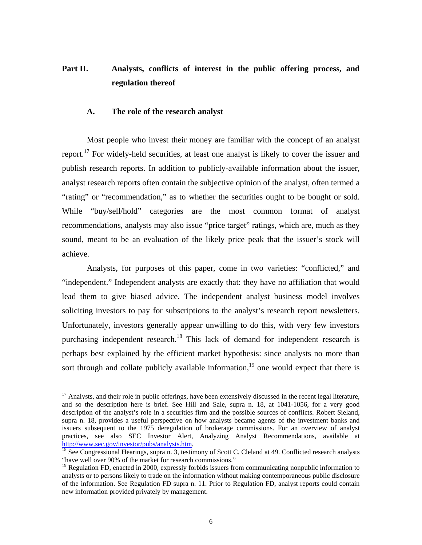# Part II. Analysts, conflicts of interest in the public offering process, and **regulation thereof**

#### **A. The role of the research analyst**

Most people who invest their money are familiar with the concept of an analyst report.<sup>17</sup> For widely-held securities, at least one analyst is likely to cover the issuer and publish research reports. In addition to publicly-available information about the issuer, analyst research reports often contain the subjective opinion of the analyst, often termed a "rating" or "recommendation," as to whether the securities ought to be bought or sold. While "buy/sell/hold" categories are the most common format of analyst recommendations, analysts may also issue "price target" ratings, which are, much as they sound, meant to be an evaluation of the likely price peak that the issuer's stock will achieve.

Analysts, for purposes of this paper, come in two varieties: "conflicted," and "independent." Independent analysts are exactly that: they have no affiliation that would lead them to give biased advice. The independent analyst business model involves soliciting investors to pay for subscriptions to the analyst's research report newsletters. Unfortunately, investors generally appear unwilling to do this, with very few investors purchasing independent research.<sup>18</sup> This lack of demand for independent research is perhaps best explained by the efficient market hypothesis: since analysts no more than sort through and collate publicly available information,<sup>19</sup> one would expect that there is

<span id="page-9-0"></span> $17$  Analysts, and their role in public offerings, have been extensively discussed in the recent legal literature, and so the description here is brief. See Hill and Sale, supra n. 18, at 1041-1056, for a very good description of the analyst's role in a securities firm and the possible sources of conflicts. Robert Sieland, supra n. 18, provides a useful perspective on how analysts became agents of the investment banks and issuers subsequent to the 1975 deregulation of brokerage commissions. For an overview of analyst practices, see also SEC Investor Alert, Analyzing Analyst Recommendations, available at [http://www.sec.gov/investor/pubs/analysts.htm.](http://www.sec.gov/investor/pubs/analysts.htm)<br><sup>[18](http://www.sec.gov/investor/pubs/analysts.htm)</sup> See Congressional Hearings, supra n. 3, testimony of Scott C. Cleland at 49. Conflicted research analysts

<span id="page-9-1"></span><sup>&</sup>quot;have well over 90% of the market for research commissions."

<span id="page-9-2"></span><sup>&</sup>lt;sup>19</sup> Regulation FD, enacted in 2000, expressly forbids issuers from communicating nonpublic information to analysts or to persons likely to trade on the information without making contemporaneous public disclosure of the information. See Regulation FD supra n. 11. Prior to Regulation FD, analyst reports could contain new information provided privately by management.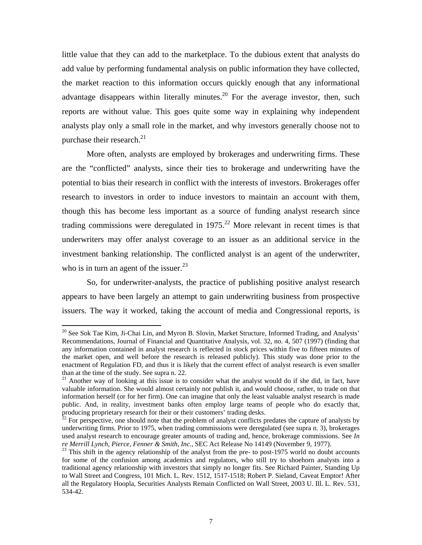little value that they can add to the marketplace. To the dubious extent that analysts do add value by performing fundamental analysis on public information they have collected, the market reaction to this information occurs quickly enough that any informational advantage disappears within literally minutes.<sup>20</sup> For the average investor, then, such reports are without value. This goes quite some way in explaining why independent analysts play only a small role in the market, and why investors generally choose not to purchase their research. $^{21}$  $^{21}$  $^{21}$ 

More often, analysts are employed by brokerages and underwriting firms. These are the "conflicted" analysts, since their ties to brokerage and underwriting have the potential to bias their research in conflict with the interests of investors. Brokerages offer research to investors in order to induce investors to maintain an account with them, though this has become less important as a source of funding analyst research since trading commissions were deregulated in  $1975$ <sup>22</sup> More relevant in recent times is that underwriters may offer analyst coverage to an issuer as an additional service in the investment banking relationship. The conflicted analyst is an agent of the underwriter, who is in turn an agent of the issuer. $^{23}$ 

So, for underwriter-analysts, the practice of publishing positive analyst research appears to have been largely an attempt to gain underwriting business from prospective issuers. The way it worked, taking the account of media and Congressional reports, is

<span id="page-10-0"></span> $20$  See Sok Tae Kim, Ji-Chai Lin, and Myron B. Slovin, Market Structure, Informed Trading, and Analysts' Recommendations, Journal of Financial and Quantitative Analysis, vol. 32, no. 4, 507 (1997) (finding that any information contained in analyst research is reflected in stock prices within five to fifteen minutes of the market open, and well before the research is released publicly). This study was done prior to the enactment of Regulation FD, and thus it is likely that the current effect of analyst research is even smaller than at the time of the study. See supra n. 22.

<span id="page-10-1"></span> $21$  Another way of looking at this issue is to consider what the analyst would do if she did, in fact, have valuable information. She would almost certainly not publish it, and would choose, rather, to trade on that information herself (or for her firm). One can imagine that only the least valuable analyst research is made public. And, in reality, investment banks often employ large teams of people who do exactly that, producing proprietary research for their or their customers' trading desks.<br><sup>22</sup> For perspective, one should note that the problem of analyst conflicts predates the capture of analysts by

<span id="page-10-2"></span>underwriting firms. Prior to 1975, when trading commissions were deregulated (see supra n. 3), brokerages used analyst research to encourage greater amounts of trading and, hence, brokerage commissions. See *In re Merrill Lynch, Pierce, Fenner & Smith, Inc., SEC Act Release No 14149 (November 9, 1977).*<br><sup>23</sup> This shift in the agency relationship of the analyst from the pre- to post-1975 world no doubt accounts

<span id="page-10-3"></span>for some of the confusion among academics and regulators, who still try to shoehorn analysts into a traditional agency relationship with investors that simply no longer fits. See Richard Painter, Standing Up to Wall Street and Congress, 101 Mich. L. Rev. 1512, 1517-1518; Robert P. Sieland, Caveat Emptor! After all the Regulatory Hoopla, Securities Analysts Remain Conflicted on Wall Street, 2003 U. Ill. L. Rev. 531, 534-42.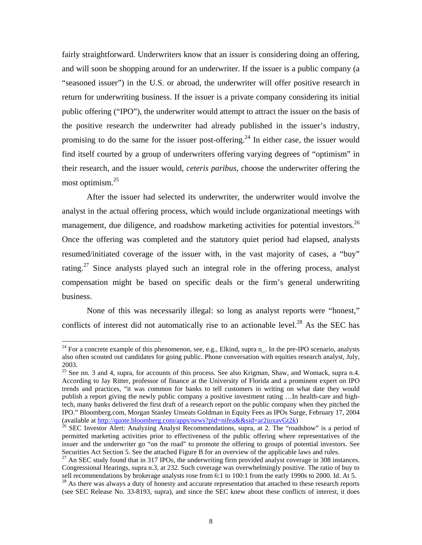<span id="page-11-4"></span>fairly straightforward. Underwriters know that an issuer is considering doing an offering, and will soon be shopping around for an underwriter. If the issuer is a public company (a "seasoned issuer") in the U.S. or abroad, the underwriter will offer positive research in return for underwriting business. If the issuer is a private company considering its initial public offering ("IPO"), the underwriter would attempt to attract the issuer on the basis of the positive research the underwriter had already published in the issuer's industry, promising to do the same for the issuer post-offering.<sup>24</sup> In either case, the issuer would find itself courted by a group of underwriters offering varying degrees of "optimism" in their research, and the issuer would, *ceteris paribus*, choose the underwriter offering the most optimism. [25](#page-11-1) 

After the issuer had selected its underwriter, the underwriter would involve the analyst in the actual offering process, which would include organizational meetings with management, due diligence, and roadshow marketing activities for potential investors.<sup>26</sup> Once the offering was completed and the statutory quiet period had elapsed, analysts resumed/initiated coverage of the issuer with, in the vast majority of cases, a "buy" rating.<sup>27</sup> Since analysts played such an integral role in the offering process, analyst compensation might be based on specific deals or the firm's general underwriting business.

None of this was necessarily illegal: so long as analyst reports were "honest," conflicts of interest did not automatically rise to an actionable level.<sup>28</sup> As the SEC has

<span id="page-11-0"></span><sup>&</sup>lt;sup>24</sup> For a concrete example of this phenomenon, see, e.g., Elkind, supra n<sub>\_</sub>. In the pre-IPO scenario, analysts also often scouted out candidates for going public. Phone conversation with equities research analyst, July, 2003.

<span id="page-11-1"></span><sup>&</sup>lt;sup>25</sup> See nn. 3 and 4, supra, for accounts of this process. See also Krigman, Shaw, and Womack, supra n.4. According to Jay Ritter, professor of finance at the University of Florida and a prominent expert on IPO trends and practices, "it was common for banks to tell customers in writing on what date they would publish a report giving the newly public company a positive investment rating …In health-care and hightech, many banks delivered the first draft of a research report on the public company when they pitched the IPO." Bloomberg.com, Morgan Stanley Unseats Goldman in Equity Fees as IPOs Surge, February 17, 2004 (available at http://quote.bloomberg.com/apps/news?pid=nifea&&sid=ar2iuxavGt2k)

<span id="page-11-2"></span> $^{26}$  SEC Investor Alert: Analyzing Analyst Recommendations, supra, at 2. The "roadshow" is a period of permitted marketing activities prior to effectiveness of the public offering where representatives of the issuer and the underwriter go "on the road" to promote the offering to groups of potential investors. See

<span id="page-11-3"></span> $^{27}$  An SEC study found that in 317 IPOs, the underwriting firm provided analyst coverage in 308 instances. Congressional Hearings, supra n.3, at 232. Such coverage was overwhelmingly positive. The ratio of buy to sell recommendations by brokerage analysts rose from 6:1 to 100:1 from the early 1990s to 2000. Id. At 5.

 $28$  As there was always a duty of honesty and accurate representation that attached to these research reports (see SEC Release No. 33-8193, supra), and since the SEC knew about these conflicts of interest, it does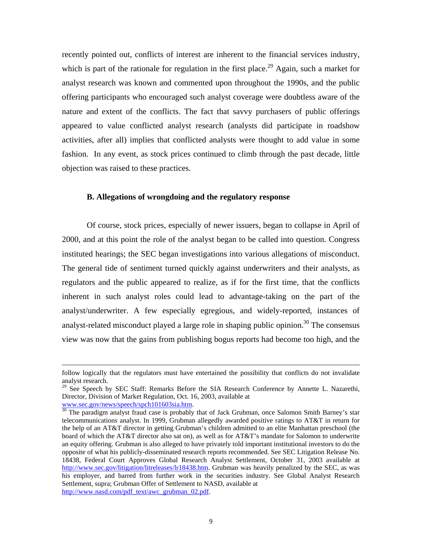recently pointed out, conflicts of interest are inherent to the financial services industry, which is part of the rationale for regulation in the first place.<sup>29</sup> Again, such a market for analyst research was known and commented upon throughout the 1990s, and the public offering participants who encouraged such analyst coverage were doubtless aware of the nature and extent of the conflicts. The fact that savvy purchasers of public offerings appeared to value conflicted analyst research (analysts did participate in roadshow activities, after all) implies that conflicted analysts were thought to add value in some fashion. In any event, as stock prices continued to climb through the past decade, little objection was raised to these practices.

### **B. Allegations of wrongdoing and the regulatory response**

Of course, stock prices, especially of newer issuers, began to collapse in April of 2000, and at this point the role of the analyst began to be called into question. Congress instituted hearings; the SEC began investigations into various allegations of misconduct. The general tide of sentiment turned quickly against underwriters and their analysts, as regulators and the public appeared to realize, as if for the first time, that the conflicts inherent in such analyst roles could lead to advantage-taking on the part of the analyst/underwriter. A few especially egregious, and widely-reported, instances of analyst-related misconduct played a large role in shaping public opinion.<sup>30</sup> The consensus view was now that the gains from publishing bogus reports had become too high, and the

 $\overline{a}$ 

follow logically that the regulators must have entertained the possibility that conflicts do not invalidate analyst research.

<span id="page-12-0"></span><sup>&</sup>lt;sup>29</sup> See Speech by SEC Staff: Remarks Before the SIA Research Conference by Annette L. Nazarethi, Director, Division of Market Regulation, Oct. 16, 2003, available at www.sec.gov/news/speech/spch101603sia.htm.

<span id="page-12-1"></span><sup>&</sup>lt;sup>[30](http://www.sec.gov/news/speech/spch101603sia.htm)</sup> The paradigm analyst fraud case is probably that of Jack Grubman, once Salomon Smith Barney's star telecommunications analyst. In 1999, Grubman allegedly awarded positive ratings to AT&T in return for the help of an AT&T director in getting Grubman's children admitted to an elite Manhattan preschool (the board of which the AT&T director also sat on), as well as for AT&T's mandate for Salomon to underwrite an equity offering. Grubman is also alleged to have privately told important institutional investors to do the opposite of what his publicly-disseminated research reports recommended. See SEC Litigation Release No. 18438, Federal Court Approves Global Research Analyst Settlement, October 31, 2003 available at <http://www.sec.gov/litigation/litreleases/lr18438.htm>. Grubman was heavily penalized by the SEC, as was his employer, and barred from further work in the securities industry. See Global Analyst Research Settlement, supra; Grubman Offer of Settlement to NASD, available at [http://www.nasd.com/pdf\\_text/awc\\_grubman\\_02.pdf](http://www.nasd.com/pdf_text/awc_grubman_02.pdf).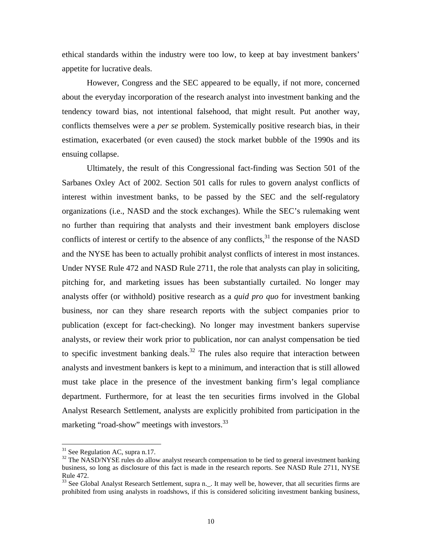<span id="page-13-2"></span>ethical standards within the industry were too low, to keep at bay investment bankers' appetite for lucrative deals.

However, Congress and the SEC appeared to be equally, if not more, concerned about the everyday incorporation of the research analyst into investment banking and the tendency toward bias, not intentional falsehood, that might result. Put another way, conflicts themselves were a *per se* problem. Systemically positive research bias, in their estimation, exacerbated (or even caused) the stock market bubble of the 1990s and its ensuing collapse.

Ultimately, the result of this Congressional fact-finding was Section 501 of the Sarbanes Oxley Act of 2002. Section 501 calls for rules to govern analyst conflicts of interest within investment banks, to be passed by the SEC and the self-regulatory organizations (i.e., NASD and the stock exchanges). While the SEC's rulemaking went no further than requiring that analysts and their investment bank employers disclose conflicts of interest or certify to the absence of any conflicts, $31$  the response of the NASD and the NYSE has been to actually prohibit analyst conflicts of interest in most instances. Under NYSE Rule 472 and NASD Rule 2711, the role that analysts can play in soliciting, pitching for, and marketing issues has been substantially curtailed. No longer may analysts offer (or withhold) positive research as a *quid pro quo* for investment banking business, nor can they share research reports with the subject companies prior to publication (except for fact-checking). No longer may investment bankers supervise analysts, or review their work prior to publication, nor can analyst compensation be tied to specific investment banking deals.<sup>32</sup> The rules also require that interaction between analysts and investment bankers is kept to a minimum, and interaction that is still allowed must take place in the presence of the investment banking firm's legal compliance department. Furthermore, for at least the ten securities firms involved in the Global Analyst Research Settlement, analysts are explicitly prohibited from participation in the marketing "road-show" meetings with investors.<sup>33</sup>

<span id="page-13-1"></span><span id="page-13-0"></span>

 $31$  See Regulation AC, supra n.17.<br> $32$  The NASD/NYSE rules do allow analyst research compensation to be tied to general investment banking business, so long as disclosure of this fact is made in the research reports. See NASD Rule 2711, NYSE Rule 472.<br><sup>33</sup> See Global Analyst Research Settlement, supra n.\_. It may well be, however, that all securities firms are

prohibited from using analysts in roadshows, if this is considered soliciting investment banking business,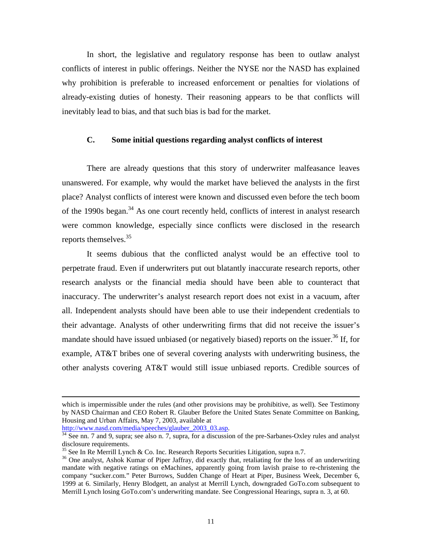In short, the legislative and regulatory response has been to outlaw analyst conflicts of interest in public offerings. Neither the NYSE nor the NASD has explained why prohibition is preferable to increased enforcement or penalties for violations of already-existing duties of honesty. Their reasoning appears to be that conflicts will inevitably lead to bias, and that such bias is bad for the market.

### **C. Some initial questions regarding analyst conflicts of interest**

There are already questions that this story of underwriter malfeasance leaves unanswered. For example, why would the market have believed the analysts in the first place? Analyst conflicts of interest were known and discussed even before the tech boom of the 1990s began.<sup>34</sup> As one court recently held, conflicts of interest in analyst research were common knowledge, especially since conflicts were disclosed in the research reports themselves.<sup>35</sup>

It seems dubious that the conflicted analyst would be an effective tool to perpetrate fraud. Even if underwriters put out blatantly inaccurate research reports, other research analysts or the financial media should have been able to counteract that inaccuracy. The underwriter's analyst research report does not exist in a vacuum, after all. Independent analysts should have been able to use their independent credentials to their advantage. Analysts of other underwriting firms that did not receive the issuer's mandate should have issued unbiased (or negatively biased) reports on the issuer.<sup>36</sup> If, for example, AT&T bribes one of several covering analysts with underwriting business, the other analysts covering AT&T would still issue unbiased reports. Credible sources of

 $\overline{a}$ 

which is impermissible under the rules (and other provisions may be prohibitive, as well). See Testimony by NASD Chairman and CEO Robert R. Glauber Before the United States Senate Committee on Banking, Housing and Urban Affairs, May 7, 2003, available at http://www.nasd.com/media/speeches/glauber\_2003\_03.asp.

<span id="page-14-0"></span><sup>&</sup>lt;sup>[34](http://www.nasd.com/media/speeches/glauber_2003_03.asp)</sup> See nn. 7 and 9, supra; see also n. 7, supra, for a discussion of the pre-Sarbanes-Oxley rules and analyst disclosure requirements.

<span id="page-14-2"></span><span id="page-14-1"></span>

<sup>&</sup>lt;sup>35</sup> See In Re Merrill Lynch & Co. Inc. Research Reports Securities Litigation, supra n.7. <sup>36</sup> One analyst, Ashok Kumar of Piper Jaffray, did exactly that, retaliating for the loss of an underwriting mandate with negative ratings on eMachines, apparently going from lavish praise to re-christening the company "sucker.com." Peter Burrows, Sudden Change of Heart at Piper, Business Week, December 6, 1999 at 6. Similarly, Henry Blodgett, an analyst at Merrill Lynch, downgraded GoTo.com subsequent to Merrill Lynch losing GoTo.com's underwriting mandate. See Congressional Hearings, supra n. 3, at 60.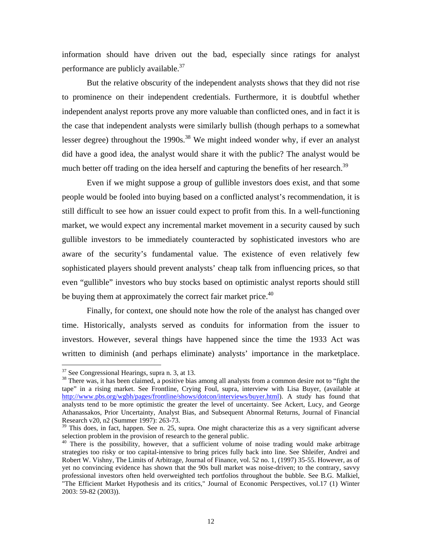information should have driven out the bad, especially since ratings for analyst performance are publicly available. $37$ 

But the relative obscurity of the independent analysts shows that they did not rise to prominence on their independent credentials. Furthermore, it is doubtful whether independent analyst reports prove any more valuable than conflicted ones, and in fact it is the case that independent analysts were similarly bullish (though perhaps to a somewhat lesser degree) throughout the  $1990s$ <sup>38</sup> We might indeed wonder why, if ever an analyst did have a good idea, the analyst would share it with the public? The analyst would be much better off trading on the idea herself and capturing the benefits of her research.<sup>39</sup>

Even if we might suppose a group of gullible investors does exist, and that some people would be fooled into buying based on a conflicted analyst's recommendation, it is still difficult to see how an issuer could expect to profit from this. In a well-functioning market, we would expect any incremental market movement in a security caused by such gullible investors to be immediately counteracted by sophisticated investors who are aware of the security's fundamental value. The existence of even relatively few sophisticated players should prevent analysts' cheap talk from influencing prices, so that even "gullible" investors who buy stocks based on optimistic analyst reports should still be buying them at approximately the correct fair market price.<sup>40</sup>

Finally, for context, one should note how the role of the analyst has changed over time. Historically, analysts served as conduits for information from the issuer to investors. However, several things have happened since the time the 1933 Act was written to diminish (and perhaps eliminate) analysts' importance in the marketplace.

<span id="page-15-1"></span>

<span id="page-15-0"></span> $37$  See Congressional Hearings, supra n. 3, at 13.<br> $38$  There was, it has been claimed, a positive bias among all analysts from a common desire not to "fight the tape" in a rising market. See Frontline, Crying Foul, supra, interview with Lisa Buyer, (available at <http://www.pbs.org/wgbh/pages/frontline/shows/dotcon/interviews/buyer.html>). A study has found that analysts tend to be more optimistic the greater the level of uncertainty. See Ackert, Lucy, and George Athanassakos, Prior Uncertainty, Analyst Bias, and Subsequent Abnormal Returns, Journal of Financial Research v20, n2 (Summer 1997): 263-73.

<span id="page-15-2"></span> $39$  This does, in fact, happen. See n. 25, supra. One might characterize this as a very significant adverse selection problem in the provision of research to the general public.<br> $40$  There is the possibility, however, that a sufficient volume of noise trading would make arbitrage

<span id="page-15-3"></span>strategies too risky or too capital-intensive to bring prices fully back into line. See Shleifer, Andrei and Robert W. Vishny, The Limits of Arbitrage, Journal of Finance, vol. 52 no. 1, (1997) 35-55. However, as of yet no convincing evidence has shown that the 90s bull market was noise-driven; to the contrary, savvy professional investors often held overweighted tech portfolios throughout the bubble. See B.G. Malkiel, "The Efficient Market Hypothesis and its critics," Journal of Economic Perspectives, vol.17 (1) Winter 2003: 59-82 (2003)).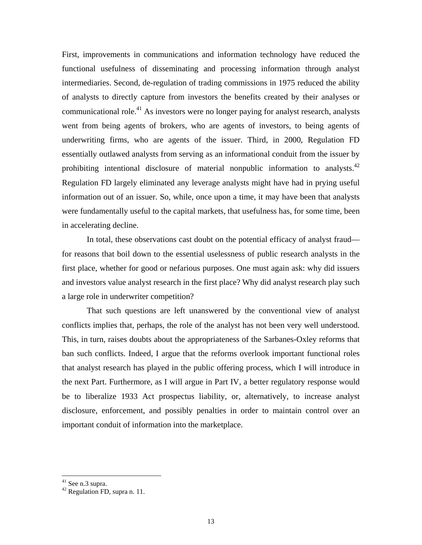First, improvements in communications and information technology have reduced the functional usefulness of disseminating and processing information through analyst intermediaries. Second, de-regulation of trading commissions in 1975 reduced the ability of analysts to directly capture from investors the benefits created by their analyses or communicational role.<sup>41</sup> As investors were no longer paying for analyst research, analysts went from being agents of brokers, who are agents of investors, to being agents of underwriting firms, who are agents of the issuer. Third, in 2000, Regulation FD essentially outlawed analysts from serving as an informational conduit from the issuer by prohibiting intentional disclosure of material nonpublic information to analysts.<sup>42</sup> Regulation FD largely eliminated any leverage analysts might have had in prying useful information out of an issuer. So, while, once upon a time, it may have been that analysts were fundamentally useful to the capital markets, that usefulness has, for some time, been in accelerating decline.

In total, these observations cast doubt on the potential efficacy of analyst fraud for reasons that boil down to the essential uselessness of public research analysts in the first place, whether for good or nefarious purposes. One must again ask: why did issuers and investors value analyst research in the first place? Why did analyst research play such a large role in underwriter competition?

That such questions are left unanswered by the conventional view of analyst conflicts implies that, perhaps, the role of the analyst has not been very well understood. This, in turn, raises doubts about the appropriateness of the Sarbanes-Oxley reforms that ban such conflicts. Indeed, I argue that the reforms overlook important functional roles that analyst research has played in the public offering process, which I will introduce in the next Part. Furthermore, as I will argue in Part IV, a better regulatory response would be to liberalize 1933 Act prospectus liability, or, alternatively, to increase analyst disclosure, enforcement, and possibly penalties in order to maintain control over an important conduit of information into the marketplace.

<span id="page-16-0"></span>41 See n.3 supra.

<span id="page-16-1"></span><sup>42</sup> Regulation FD, supra n. 11.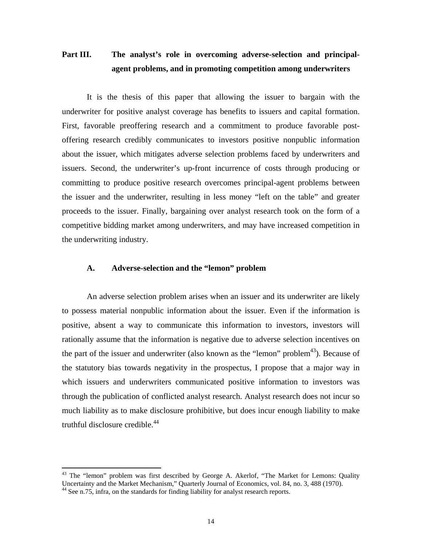# **Part III. The analyst's role in overcoming adverse-selection and principalagent problems, and in promoting competition among underwriters**

It is the thesis of this paper that allowing the issuer to bargain with the underwriter for positive analyst coverage has benefits to issuers and capital formation. First, favorable preoffering research and a commitment to produce favorable postoffering research credibly communicates to investors positive nonpublic information about the issuer, which mitigates adverse selection problems faced by underwriters and issuers. Second, the underwriter's up-front incurrence of costs through producing or committing to produce positive research overcomes principal-agent problems between the issuer and the underwriter, resulting in less money "left on the table" and greater proceeds to the issuer. Finally, bargaining over analyst research took on the form of a competitive bidding market among underwriters, and may have increased competition in the underwriting industry.

### **A. Adverse-selection and the "lemon" problem**

An adverse selection problem arises when an issuer and its underwriter are likely to possess material nonpublic information about the issuer. Even if the information is positive, absent a way to communicate this information to investors, investors will rationally assume that the information is negative due to adverse selection incentives on the part of the issuer and underwriter (also known as the "lemon" problem<sup>43</sup>). Because of the statutory bias towards negativity in the prospectus, I propose that a major way in which issuers and underwriters communicated positive information to investors was through the publication of conflicted analyst research. Analyst research does not incur so much liability as to make disclosure prohibitive, but does incur enough liability to make truthful disclosure credible. $44$ 

<span id="page-17-0"></span> $43$  The "lemon" problem was first described by George A. Akerlof, "The Market for Lemons: Quality Uncertainty and the Market Mechanism," Quarterly Journal of Economics, vol. 84, no. 3, 488 (1970).<br><sup>44</sup> See n.75, infra, on the standards for finding liability for analyst research reports.

<span id="page-17-1"></span>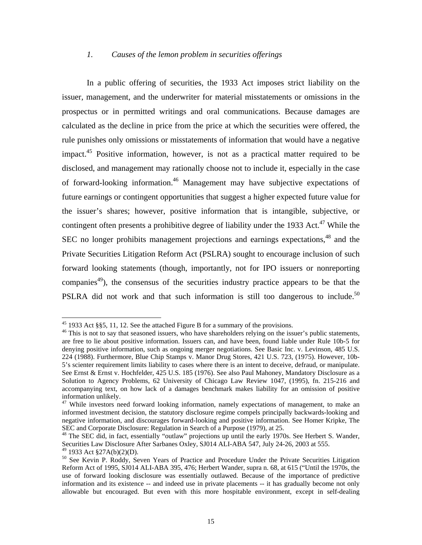### <span id="page-18-5"></span>*1. Causes of the lemon problem in securities offerings*

In a public offering of securities, the 1933 Act imposes strict liability on the issuer, management, and the underwriter for material misstatements or omissions in the prospectus or in permitted writings and oral communications. Because damages are calculated as the decline in price from the price at which the securities were offered, the rule punishes only omissions or misstatements of information that would have a negative impact.<sup>45</sup> Positive information, however, is not as a practical matter required to be disclosed, and management may rationally choose not to include it, especially in the case of forward-looking information[.46](#page-18-1) Management may have subjective expectations of future earnings or contingent opportunities that suggest a higher expected future value for the issuer's shares; however, positive information that is intangible, subjective, or contingent often presents a prohibitive degree of liability under the 1933 Act.<sup>47</sup> While the SEC no longer prohibits management projections and earnings expectations,<sup>48</sup> and the Private Securities Litigation Reform Act (PSLRA) sought to encourage inclusion of such forward looking statements (though, importantly, not for IPO issuers or nonreporting companies<sup>49</sup>), the consensus of the securities industry practice appears to be that the PSLRA did not work and that such information is still too dangerous to include.<sup>50</sup>

<span id="page-18-1"></span><span id="page-18-0"></span>

<sup>&</sup>lt;sup>45</sup> 1933 Act §§5, 11, 12. See the attached Figure B for a summary of the provisions.<br><sup>46</sup> This is not to say that seasoned issuers, who have shareholders relying on the issuer's public statements, are free to lie about positive information. Issuers can, and have been, found liable under Rule 10b-5 for denying positive information, such as ongoing merger negotiations. See Basic Inc. v. Levinson, 485 U.S. 224 (1988). Furthermore, Blue Chip Stamps v. Manor Drug Stores, 421 U.S. 723, (1975). However, 10b-5's scienter requirement limits liability to cases where there is an intent to deceive, defraud, or manipulate. See Ernst & Ernst v. Hochfelder, 425 U.S. 185 (1976). See also Paul Mahoney, Mandatory Disclosure as a Solution to Agency Problems, 62 University of Chicago Law Review 1047, (1995), fn. 215-216 and accompanying text, on how lack of a damages benchmark makes liability for an omission of positive information unlikely.<br><sup>47</sup> While investors need forward looking information, namely expectations of management, to make an

<span id="page-18-2"></span>informed investment decision, the statutory disclosure regime compels principally backwards-looking and negative information, and discourages forward-looking and positive information. See Homer Kripke, The SEC and Corporate Disclosure: Regulation in Search of a Purpose (1979), at 25.

<span id="page-18-3"></span><sup>&</sup>lt;sup>48</sup> The SEC did, in fact, essentially "outlaw" projections up until the early 1970s. See Herbert S. Wander, Securities Law Disclosure After Sarbanes Oxley, SJ014 ALI-ABA 547, July 24-26, 2003 at 555.<br><sup>49</sup> 1933 Act §27A(b)(2)(D).

<span id="page-18-4"></span>

<sup>&</sup>lt;sup>50</sup> See Kevin P. Roddy, Seven Years of Practice and Procedure Under the Private Securities Litigation Reform Act of 1995, SJ014 ALI-ABA 395, 476; Herbert Wander, supra n. 68, at 615 ("Until the 1970s, the use of forward looking disclosure was essentially outlawed. Because of the importance of predictive information and its existence -- and indeed use in private placements -- it has gradually become not only allowable but encouraged. But even with this more hospitable environment, except in self-dealing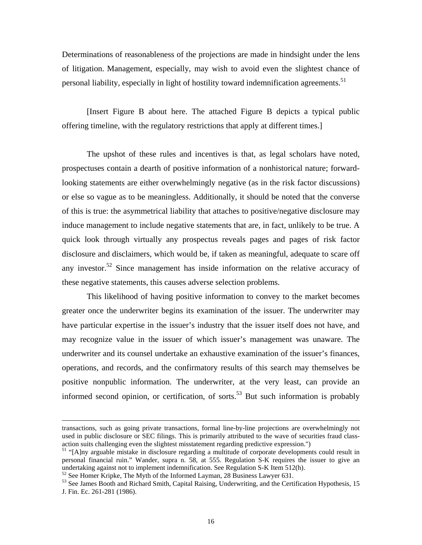Determinations of reasonableness of the projections are made in hindsight under the lens of litigation. Management, especially, may wish to avoid even the slightest chance of personal liability, especially in light of hostility toward indemnification agreements.<sup>51</sup>

[Insert Figure B about here. The attached Figure B depicts a typical public offering timeline, with the regulatory restrictions that apply at different times.]

The upshot of these rules and incentives is that, as legal scholars have noted, prospectuses contain a dearth of positive information of a nonhistorical nature; forwardlooking statements are either overwhelmingly negative (as in the risk factor discussions) or else so vague as to be meaningless. Additionally, it should be noted that the converse of this is true: the asymmetrical liability that attaches to positive/negative disclosure may induce management to include negative statements that are, in fact, unlikely to be true. A quick look through virtually any prospectus reveals pages and pages of risk factor disclosure and disclaimers, which would be, if taken as meaningful, adequate to scare off any investor.<sup>52</sup> Since management has inside information on the relative accuracy of these negative statements, this causes adverse selection problems.

This likelihood of having positive information to convey to the market becomes greater once the underwriter begins its examination of the issuer. The underwriter may have particular expertise in the issuer's industry that the issuer itself does not have, and may recognize value in the issuer of which issuer's management was unaware. The underwriter and its counsel undertake an exhaustive examination of the issuer's finances, operations, and records, and the confirmatory results of this search may themselves be positive nonpublic information. The underwriter, at the very least, can provide an informed second opinion, or certification, of sorts.<sup>53</sup> But such information is probably

 $\overline{a}$ 

transactions, such as going private transactions, formal line-by-line projections are overwhelmingly not used in public disclosure or SEC filings. This is primarily attributed to the wave of securities fraud class-<br>action suits challenging even the slightest misstatement regarding predictive expression.")

<span id="page-19-0"></span><sup>&</sup>lt;sup>51</sup> "[A]ny arguable mistake in disclosure regarding a multitude of corporate developments could result in personal financial ruin." Wander, supra n. 58, at 555. Regulation S-K requires the issuer to give an undertaking against not to implement indemnification. See Regulation S-K Item 512(h).<br><sup>52</sup> See Homer Kripke, The Myth of the Informed Layman, 28 Business Lawyer 631.<br><sup>53</sup> See James Booth and Richard Smith, Capital Raising,

<span id="page-19-1"></span>

<span id="page-19-2"></span>J. Fin. Ec. 261-281 (1986).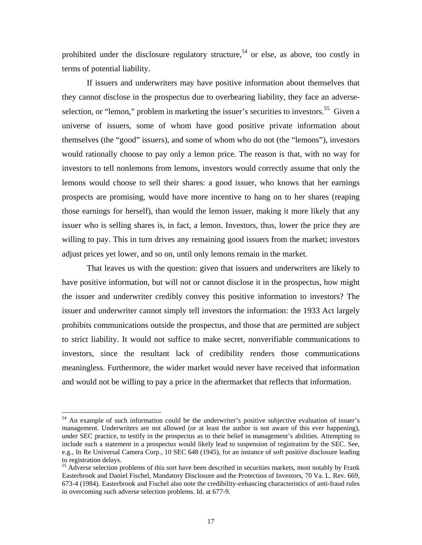prohibited under the disclosure regulatory structure,<sup>54</sup> or else, as above, too costly in terms of potential liability.

If issuers and underwriters may have positive information about themselves that they cannot disclose in the prospectus due to overbearing liability, they face an adverseselection, or "lemon," problem in marketing the issuer's securities to investors.<sup>55</sup> Given a universe of issuers, some of whom have good positive private information about themselves (the "good" issuers), and some of whom who do not (the "lemons"), investors would rationally choose to pay only a lemon price. The reason is that, with no way for investors to tell nonlemons from lemons, investors would correctly assume that only the lemons would choose to sell their shares: a good issuer, who knows that her earnings prospects are promising, would have more incentive to hang on to her shares (reaping those earnings for herself), than would the lemon issuer, making it more likely that any issuer who is selling shares is, in fact, a lemon. Investors, thus, lower the price they are willing to pay. This in turn drives any remaining good issuers from the market; investors adjust prices yet lower, and so on, until only lemons remain in the market.

That leaves us with the question: given that issuers and underwriters are likely to have positive information, but will not or cannot disclose it in the prospectus, how might the issuer and underwriter credibly convey this positive information to investors? The issuer and underwriter cannot simply tell investors the information: the 1933 Act largely prohibits communications outside the prospectus, and those that are permitted are subject to strict liability. It would not suffice to make secret, nonverifiable communications to investors, since the resultant lack of credibility renders those communications meaningless. Furthermore, the wider market would never have received that information and would not be willing to pay a price in the aftermarket that reflects that information.

<span id="page-20-0"></span> $54$  An example of such information could be the underwriter's positive subjective evaluation of issuer's management. Underwriters are not allowed (or at least the author is not aware of this ever happening), under SEC practice, to testify in the prospectus as to their belief in management's abilities. Attempting to include such a statement in a prospectus would likely lead to suspension of registration by the SEC. See, e.g., In Re Universal Camera Corp., 10 SEC 648 (1945), for an instance of soft positive disclosure leading to registration delays.<br><sup>55</sup> Adverse selection problems of this sort have been described in securities markets, most notably by Frank

<span id="page-20-1"></span>Easterbrook and Daniel Fischel, Mandatory Disclosure and the Protection of Investors, 70 Va. L. Rev. 669, 673-4 (1984). Easterbrook and Fischel also note the credibility-enhancing characteristics of anti-fraud rules in overcoming such adverse selection problems. Id. at 677-9.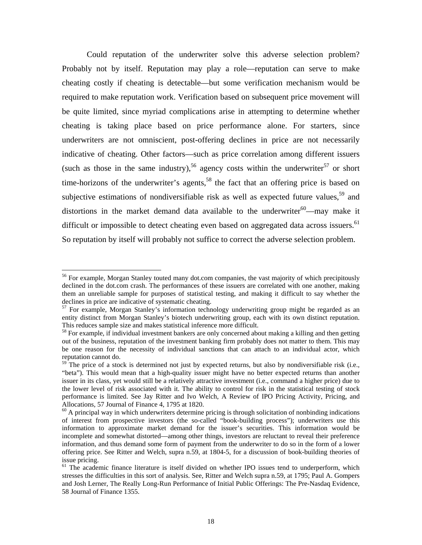Could reputation of the underwriter solve this adverse selection problem? Probably not by itself. Reputation may play a role—reputation can serve to make cheating costly if cheating is detectable—but some verification mechanism would be required to make reputation work. Verification based on subsequent price movement will be quite limited, since myriad complications arise in attempting to determine whether cheating is taking place based on price performance alone. For starters, since underwriters are not omniscient, post-offering declines in price are not necessarily indicative of cheating. Other factors—such as price correlation among different issuers (such as those in the same industry),<sup>56</sup> agency costs within the underwriter<sup>57</sup> or short time-horizons of the underwriter's agents,<sup>58</sup> the fact that an offering price is based on subjective estimations of nondiversifiable risk as well as expected future values,<sup>59</sup> and distortions in the market demand data available to the underwriter<sup>60</sup>—may make it difficult or impossible to detect cheating even based on aggregated data across issuers.<sup>[61](#page-21-5)</sup> So reputation by itself will probably not suffice to correct the adverse selection problem.

<span id="page-21-0"></span> $56$  For example, Morgan Stanley touted many dot.com companies, the vast majority of which precipitously declined in the dot.com crash. The performances of these issuers are correlated with one another, making them an unreliable sample for purposes of statistical testing, and making it difficult to say whether the declines in price are indicative of systematic cheating.<br><sup>57</sup> For example, Morgan Stanley's information technology underwriting group might be regarded as an

<span id="page-21-1"></span>entity distinct from Morgan Stanley's biotech underwriting group, each with its own distinct reputation. This reduces sample size and makes statistical inference more difficult.<br><sup>58</sup> For example, if individual investment bankers are only concerned about making a killing and then getting

<span id="page-21-2"></span>out of the business, reputation of the investment banking firm probably does not matter to them. This may be one reason for the necessity of individual sanctions that can attach to an individual actor, which reputation cannot do.

<span id="page-21-3"></span> $59$ <sup>-The</sup> price of a stock is determined not just by expected returns, but also by nondiversifiable risk (i.e., "beta"). This would mean that a high-quality issuer might have no better expected returns than another issuer in its class, yet would still be a relatively attractive investment (i.e., command a higher price) due to the lower level of risk associated with it. The ability to control for risk in the statistical testing of stock performance is limited. See Jay Ritter and Ivo Welch, A Review of IPO Pricing Activity, Pricing, and Allocations, 57 Journal of Finance 4, 1795 at 1820.<br><sup>60</sup> A principal way in which underwriters determine pricing is through solicitation of nonbinding indications

<span id="page-21-4"></span>of interest from prospective investors (the so-called "book-building process"); underwriters use this information to approximate market demand for the issuer's securities. This information would be incomplete and somewhat distorted—among other things, investors are reluctant to reveal their preference information, and thus demand some form of payment from the underwriter to do so in the form of a lower offering price. See Ritter and Welch, supra n.59, at 1804-5, for a discussion of book-building theories of issue pricing.<br><sup>61</sup> The academic finance literature is itself divided on whether IPO issues tend to underperform, which

<span id="page-21-5"></span>stresses the difficulties in this sort of analysis. See, Ritter and Welch supra n.59, at 1795; Paul A. Gompers and Josh Lerner, The Really Long-Run Performance of Initial Public Offerings: The Pre-Nasdaq Evidence, 58 Journal of Finance 1355.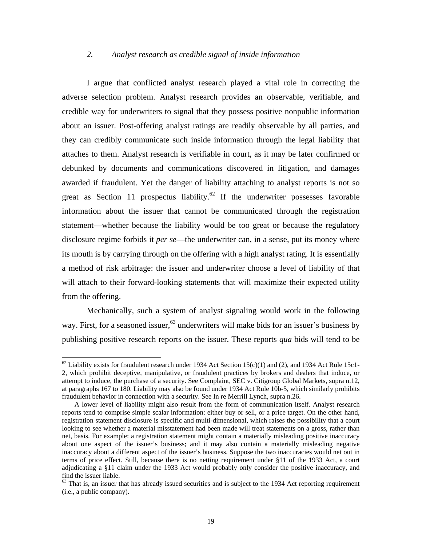### *2. Analyst research as credible signal of inside information*

I argue that conflicted analyst research played a vital role in correcting the adverse selection problem. Analyst research provides an observable, verifiable, and credible way for underwriters to signal that they possess positive nonpublic information about an issuer. Post-offering analyst ratings are readily observable by all parties, and they can credibly communicate such inside information through the legal liability that attaches to them. Analyst research is verifiable in court, as it may be later confirmed or debunked by documents and communications discovered in litigation, and damages awarded if fraudulent. Yet the danger of liability attaching to analyst reports is not so great as Section 11 prospectus liability.<sup>62</sup> If the underwriter possesses favorable information about the issuer that cannot be communicated through the registration statement—whether because the liability would be too great or because the regulatory disclosure regime forbids it *per se*—the underwriter can, in a sense, put its money where its mouth is by carrying through on the offering with a high analyst rating. It is essentially a method of risk arbitrage: the issuer and underwriter choose a level of liability of that will attach to their forward-looking statements that will maximize their expected utility from the offering.

Mechanically, such a system of analyst signaling would work in the following way. First, for a seasoned issuer,  $63$  underwriters will make bids for an issuer's business by publishing positive research reports on the issuer. These reports *qua* bids will tend to be

<span id="page-22-0"></span> $62$  Liability exists for fraudulent research under 1934 Act Section 15(c)(1) and (2), and 1934 Act Rule 15c1-2, which prohibit deceptive, manipulative, or fraudulent practices by brokers and dealers that induce, or attempt to induce, the purchase of a security. See Complaint, SEC v. Citigroup Global Markets, supra n.12, at paragraphs 167 to 180. Liability may also be found under 1934 Act Rule 10b-5, which similarly prohibits fraudulent behavior in connection with a security. See In re Merrill Lynch, supra n.26.

A lower level of liability might also result from the form of communication itself. Analyst research reports tend to comprise simple scalar information: either buy or sell, or a price target. On the other hand, registration statement disclosure is specific and multi-dimensional, which raises the possibility that a court looking to see whether a material misstatement had been made will treat statements on a gross, rather than net, basis. For example: a registration statement might contain a materially misleading positive inaccuracy about one aspect of the issuer's business; and it may also contain a materially misleading negative inaccuracy about a different aspect of the issuer's business. Suppose the two inaccuracies would net out in terms of price effect. Still, because there is no netting requirement under §11 of the 1933 Act, a court adjudicating a §11 claim under the 1933 Act would probably only consider the positive inaccuracy, and find the issuer liable.<br><sup>63</sup> That is, an issuer that has already issued securities and is subject to the 1934 Act reporting requirement

<span id="page-22-1"></span><sup>(</sup>i.e., a public company).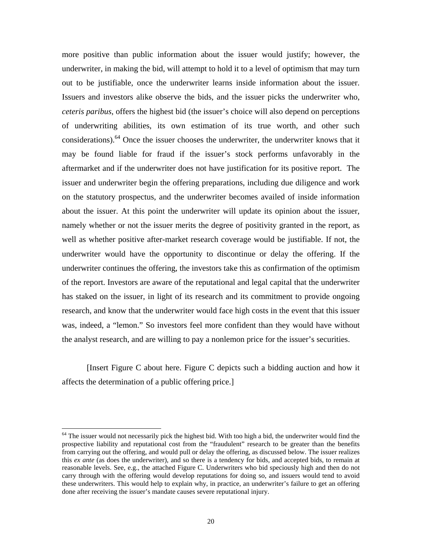more positive than public information about the issuer would justify; however, the underwriter, in making the bid, will attempt to hold it to a level of optimism that may turn out to be justifiable, once the underwriter learns inside information about the issuer. Issuers and investors alike observe the bids, and the issuer picks the underwriter who, *ceteris paribus*, offers the highest bid (the issuer's choice will also depend on perceptions of underwriting abilities, its own estimation of its true worth, and other such considerations).<sup>64</sup> Once the issuer chooses the underwriter, the underwriter knows that it may be found liable for fraud if the issuer's stock performs unfavorably in the aftermarket and if the underwriter does not have justification for its positive report. The issuer and underwriter begin the offering preparations, including due diligence and work on the statutory prospectus, and the underwriter becomes availed of inside information about the issuer. At this point the underwriter will update its opinion about the issuer, namely whether or not the issuer merits the degree of positivity granted in the report, as well as whether positive after-market research coverage would be justifiable. If not, the underwriter would have the opportunity to discontinue or delay the offering. If the underwriter continues the offering, the investors take this as confirmation of the optimism of the report. Investors are aware of the reputational and legal capital that the underwriter has staked on the issuer, in light of its research and its commitment to provide ongoing research, and know that the underwriter would face high costs in the event that this issuer was, indeed, a "lemon." So investors feel more confident than they would have without the analyst research, and are willing to pay a nonlemon price for the issuer's securities.

[Insert Figure C about here. Figure C depicts such a bidding auction and how it affects the determination of a public offering price.]

<span id="page-23-0"></span> $64$  The issuer would not necessarily pick the highest bid. With too high a bid, the underwriter would find the prospective liability and reputational cost from the "fraudulent" research to be greater than the benefits from carrying out the offering, and would pull or delay the offering, as discussed below. The issuer realizes this *ex ante* (as does the underwriter), and so there is a tendency for bids, and accepted bids, to remain at reasonable levels. See, e.g., the attached Figure C. Underwriters who bid speciously high and then do not carry through with the offering would develop reputations for doing so, and issuers would tend to avoid these underwriters. This would help to explain why, in practice, an underwriter's failure to get an offering done after receiving the issuer's mandate causes severe reputational injury.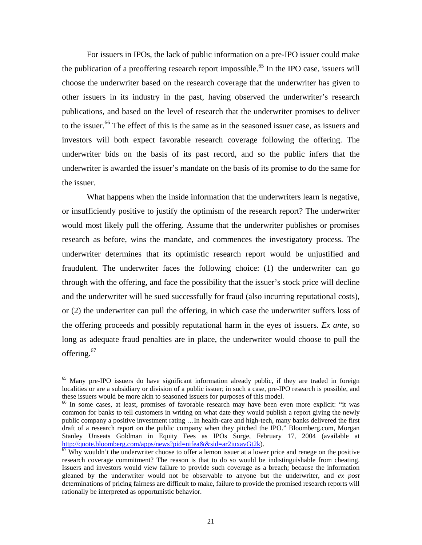For issuers in IPOs, the lack of public information on a pre-IPO issuer could make the publication of a preoffering research report impossible.<sup>65</sup> In the IPO case, issuers will choose the underwriter based on the research coverage that the underwriter has given to other issuers in its industry in the past, having observed the underwriter's research publications, and based on the level of research that the underwriter promises to deliver to the issuer.<sup>66</sup> The effect of this is the same as in the seasoned issuer case, as issuers and investors will both expect favorable research coverage following the offering. The underwriter bids on the basis of its past record, and so the public infers that the underwriter is awarded the issuer's mandate on the basis of its promise to do the same for the issuer.

What happens when the inside information that the underwriters learn is negative, or insufficiently positive to justify the optimism of the research report? The underwriter would most likely pull the offering. Assume that the underwriter publishes or promises research as before, wins the mandate, and commences the investigatory process. The underwriter determines that its optimistic research report would be unjustified and fraudulent. The underwriter faces the following choice: (1) the underwriter can go through with the offering, and face the possibility that the issuer's stock price will decline and the underwriter will be sued successfully for fraud (also incurring reputational costs), or (2) the underwriter can pull the offering, in which case the underwriter suffers loss of the offering proceeds and possibly reputational harm in the eyes of issuers. *Ex ante*, so long as adequate fraud penalties are in place, the underwriter would choose to pull the offering.<sup>[67](#page-24-2)</sup>

<span id="page-24-0"></span><sup>&</sup>lt;sup>65</sup> Many pre-IPO issuers do have significant information already public, if they are traded in foreign localities or are a subsidiary or division of a public issuer; in such a case, pre-IPO research is possible, and these issuers would be more akin to seasoned issuers for purposes of this model.<br><sup>66</sup> In some cases, at least, promises of favorable research may have been even more explicit: "it was

<span id="page-24-1"></span>common for banks to tell customers in writing on what date they would publish a report giving the newly public company a positive investment rating …In health-care and high-tech, many banks delivered the first draft of a research report on the public company when they pitched the IPO." Bloomberg.com, Morgan Stanley Unseats Goldman in Equity Fees as IPOs Surge, February 17, 2004 (available at http://quote.bloomberg.com/apps/news?pid=nifea&&sid=ar2iuxavGt2k).

<span id="page-24-2"></span> $\frac{67}{67}$  $\frac{67}{67}$  $\frac{67}{67}$  Why wouldn't the underwriter choose to offer a lemon issuer at a lower price and renege on the positive research coverage commitment? The reason is that to do so would be indistinguishable from cheating. Issuers and investors would view failure to provide such coverage as a breach; because the information gleaned by the underwriter would not be observable to anyone but the underwriter, and *ex post*  determinations of pricing fairness are difficult to make, failure to provide the promised research reports will rationally be interpreted as opportunistic behavior.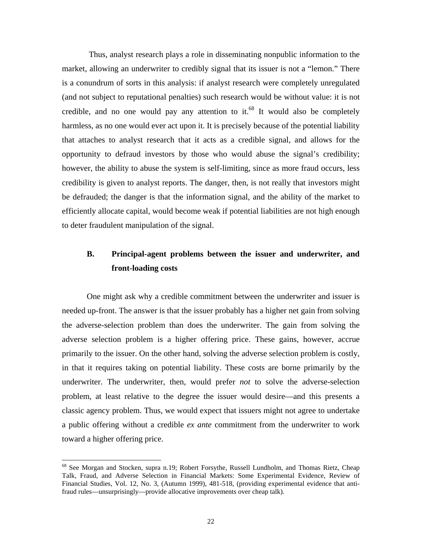Thus, analyst research plays a role in disseminating nonpublic information to the market, allowing an underwriter to credibly signal that its issuer is not a "lemon." There is a conundrum of sorts in this analysis: if analyst research were completely unregulated (and not subject to reputational penalties) such research would be without value: it is not credible, and no one would pay any attention to it.<sup>68</sup> It would also be completely harmless, as no one would ever act upon it. It is precisely because of the potential liability that attaches to analyst research that it acts as a credible signal, and allows for the opportunity to defraud investors by those who would abuse the signal's credibility; however, the ability to abuse the system is self-limiting, since as more fraud occurs, less credibility is given to analyst reports. The danger, then, is not really that investors might be defrauded; the danger is that the information signal, and the ability of the market to efficiently allocate capital, would become weak if potential liabilities are not high enough to deter fraudulent manipulation of the signal.

# **B. Principal-agent problems between the issuer and underwriter, and front-loading costs**

One might ask why a credible commitment between the underwriter and issuer is needed up-front. The answer is that the issuer probably has a higher net gain from solving the adverse-selection problem than does the underwriter. The gain from solving the adverse selection problem is a higher offering price. These gains, however, accrue primarily to the issuer. On the other hand, solving the adverse selection problem is costly, in that it requires taking on potential liability. These costs are borne primarily by the underwriter. The underwriter, then, would prefer *not* to solve the adverse-selection problem, at least relative to the degree the issuer would desire—and this presents a classic agency problem. Thus, we would expect that issuers might not agree to undertake a public offering without a credible *ex ante* commitment from the underwriter to work toward a higher offering price.

<span id="page-25-0"></span><sup>&</sup>lt;sup>68</sup> See Morgan and Stocken, supra n.19; Robert Forsythe, Russell Lundholm, and Thomas Rietz, Cheap Talk, Fraud, and Adverse Selection in Financial Markets: Some Experimental Evidence, Review of Financial Studies, Vol. 12, No. 3, (Autumn 1999), 481-518, (providing experimental evidence that antifraud rules—unsurprisingly—provide allocative improvements over cheap talk).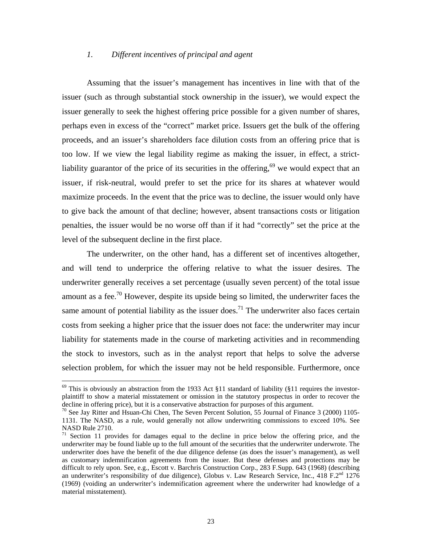### *1. Different incentives of principal and agent*

Assuming that the issuer's management has incentives in line with that of the issuer (such as through substantial stock ownership in the issuer), we would expect the issuer generally to seek the highest offering price possible for a given number of shares, perhaps even in excess of the "correct" market price. Issuers get the bulk of the offering proceeds, and an issuer's shareholders face dilution costs from an offering price that is too low. If we view the legal liability regime as making the issuer, in effect, a strictliability guarantor of the price of its securities in the offering, $69$  we would expect that an issuer, if risk-neutral, would prefer to set the price for its shares at whatever would maximize proceeds. In the event that the price was to decline, the issuer would only have to give back the amount of that decline; however, absent transactions costs or litigation penalties, the issuer would be no worse off than if it had "correctly" set the price at the level of the subsequent decline in the first place.

The underwriter, on the other hand, has a different set of incentives altogether, and will tend to underprice the offering relative to what the issuer desires. The underwriter generally receives a set percentage (usually seven percent) of the total issue amount as a fee.<sup>70</sup> However, despite its upside being so limited, the underwriter faces the same amount of potential liability as the issuer does.<sup>71</sup> The underwriter also faces certain costs from seeking a higher price that the issuer does not face: the underwriter may incur liability for statements made in the course of marketing activities and in recommending the stock to investors, such as in the analyst report that helps to solve the adverse selection problem, for which the issuer may not be held responsible. Furthermore, once

<span id="page-26-0"></span> $69$  This is obviously an abstraction from the 1933 Act §11 standard of liability (§11 requires the investorplaintiff to show a material misstatement or omission in the statutory prospectus in order to recover the decline in offering price), but it is a conservative abstraction for purposes of this argument.<br><sup>70</sup> See Jay Ritter and Hsuan-Chi Chen, The Seven Percent Solution, 55 Journal of Finance 3 (2000) 1105-

<span id="page-26-1"></span><sup>1131.</sup> The NASD, as a rule, would generally not allow underwriting commissions to exceed 10%. See NASD Rule 2710.<br><sup>71</sup> Section 11 provides for damages equal to the decline in price below the offering price, and the

<span id="page-26-2"></span>underwriter may be found liable up to the full amount of the securities that the underwriter underwrote. The underwriter does have the benefit of the due diligence defense (as does the issuer's management), as well as customary indemnification agreements from the issuer. But these defenses and protections may be difficult to rely upon. See, e.g., Escott v. Barchris Construction Corp., 283 F.Supp. 643 (1968) (describing an underwriter's responsibility of due diligence), Globus v. Law Research Service, Inc., 418  $F \cdot 2^{nd}$  1276 (1969) (voiding an underwriter's indemnification agreement where the underwriter had knowledge of a material misstatement).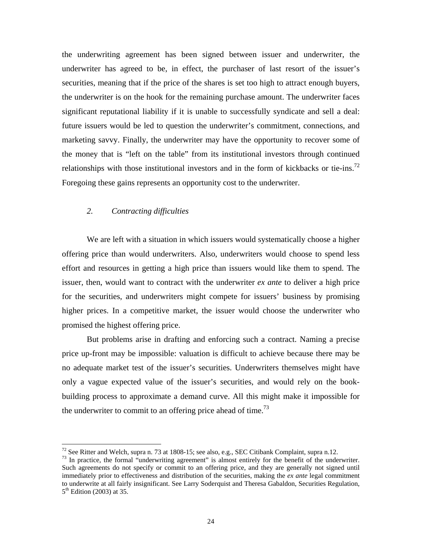the underwriting agreement has been signed between issuer and underwriter, the underwriter has agreed to be, in effect, the purchaser of last resort of the issuer's securities, meaning that if the price of the shares is set too high to attract enough buyers, the underwriter is on the hook for the remaining purchase amount. The underwriter faces significant reputational liability if it is unable to successfully syndicate and sell a deal: future issuers would be led to question the underwriter's commitment, connections, and marketing savvy. Finally, the underwriter may have the opportunity to recover some of the money that is "left on the table" from its institutional investors through continued relationships with those institutional investors and in the form of kickbacks or tie-ins.<sup>72</sup> Foregoing these gains represents an opportunity cost to the underwriter.

### *2. Contracting difficulties*

We are left with a situation in which issuers would systematically choose a higher offering price than would underwriters. Also, underwriters would choose to spend less effort and resources in getting a high price than issuers would like them to spend. The issuer, then, would want to contract with the underwriter *ex ante* to deliver a high price for the securities, and underwriters might compete for issuers' business by promising higher prices. In a competitive market, the issuer would choose the underwriter who promised the highest offering price.

But problems arise in drafting and enforcing such a contract. Naming a precise price up-front may be impossible: valuation is difficult to achieve because there may be no adequate market test of the issuer's securities. Underwriters themselves might have only a vague expected value of the issuer's securities, and would rely on the bookbuilding process to approximate a demand curve. All this might make it impossible for the underwriter to commit to an offering price ahead of time.<sup>73</sup>

<span id="page-27-1"></span><span id="page-27-0"></span>

<sup>&</sup>lt;sup>72</sup> See Ritter and Welch, supra n. 73 at 1808-15; see also, e.g., SEC Citibank Complaint, supra n.12.<br><sup>73</sup> In practice, the formal "underwriting agreement" is almost entirely for the benefit of the underwriter. Such agreements do not specify or commit to an offering price, and they are generally not signed until immediately prior to effectiveness and distribution of the securities, making the *ex ante* legal commitment to underwrite at all fairly insignificant. See Larry Soderquist and Theresa Gabaldon, Securities Regulation,  $5<sup>th</sup>$  Edition (2003) at 35.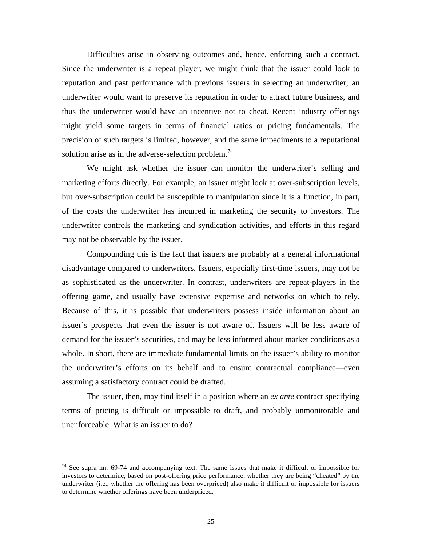Difficulties arise in observing outcomes and, hence, enforcing such a contract. Since the underwriter is a repeat player, we might think that the issuer could look to reputation and past performance with previous issuers in selecting an underwriter; an underwriter would want to preserve its reputation in order to attract future business, and thus the underwriter would have an incentive not to cheat. Recent industry offerings might yield some targets in terms of financial ratios or pricing fundamentals. The precision of such targets is limited, however, and the same impediments to a reputational solution arise as in the adverse-selection problem.<sup>[74](#page-28-0)</sup>

We might ask whether the issuer can monitor the underwriter's selling and marketing efforts directly. For example, an issuer might look at over-subscription levels, but over-subscription could be susceptible to manipulation since it is a function, in part, of the costs the underwriter has incurred in marketing the security to investors. The underwriter controls the marketing and syndication activities, and efforts in this regard may not be observable by the issuer.

Compounding this is the fact that issuers are probably at a general informational disadvantage compared to underwriters. Issuers, especially first-time issuers, may not be as sophisticated as the underwriter. In contrast, underwriters are repeat-players in the offering game, and usually have extensive expertise and networks on which to rely. Because of this, it is possible that underwriters possess inside information about an issuer's prospects that even the issuer is not aware of. Issuers will be less aware of demand for the issuer's securities, and may be less informed about market conditions as a whole. In short, there are immediate fundamental limits on the issuer's ability to monitor the underwriter's efforts on its behalf and to ensure contractual compliance—even assuming a satisfactory contract could be drafted.

The issuer, then, may find itself in a position where an *ex ante* contract specifying terms of pricing is difficult or impossible to draft, and probably unmonitorable and unenforceable. What is an issuer to do?

<span id="page-28-0"></span> $74$  See supra nn. 69-74 and accompanying text. The same issues that make it difficult or impossible for investors to determine, based on post-offering price performance, whether they are being "cheated" by the underwriter (i.e., whether the offering has been overpriced) also make it difficult or impossible for issuers to determine whether offerings have been underpriced.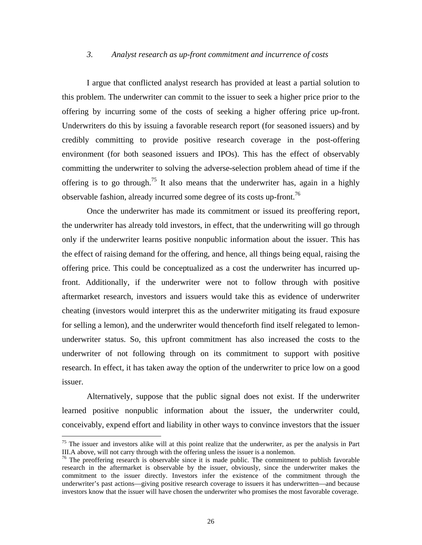### *3. Analyst research as up-front commitment and incurrence of costs*

I argue that conflicted analyst research has provided at least a partial solution to this problem. The underwriter can commit to the issuer to seek a higher price prior to the offering by incurring some of the costs of seeking a higher offering price up-front. Underwriters do this by issuing a favorable research report (for seasoned issuers) and by credibly committing to provide positive research coverage in the post-offering environment (for both seasoned issuers and IPOs). This has the effect of observably committing the underwriter to solving the adverse-selection problem ahead of time if the offering is to go through.<sup>75</sup> It also means that the underwriter has, again in a highly observable fashion, already incurred some degree of its costs up-front[.76](#page-29-1) 

Once the underwriter has made its commitment or issued its preoffering report, the underwriter has already told investors, in effect, that the underwriting will go through only if the underwriter learns positive nonpublic information about the issuer. This has the effect of raising demand for the offering, and hence, all things being equal, raising the offering price. This could be conceptualized as a cost the underwriter has incurred upfront. Additionally, if the underwriter were not to follow through with positive aftermarket research, investors and issuers would take this as evidence of underwriter cheating (investors would interpret this as the underwriter mitigating its fraud exposure for selling a lemon), and the underwriter would thenceforth find itself relegated to lemonunderwriter status. So, this upfront commitment has also increased the costs to the underwriter of not following through on its commitment to support with positive research. In effect, it has taken away the option of the underwriter to price low on a good issuer.

Alternatively, suppose that the public signal does not exist. If the underwriter learned positive nonpublic information about the issuer, the underwriter could, conceivably, expend effort and liability in other ways to convince investors that the issuer

<span id="page-29-0"></span><sup>&</sup>lt;sup>75</sup> The issuer and investors alike will at this point realize that the underwriter, as per the analysis in Part III.A above, will not carry through with the offering unless the issuer is a nonlemon.

<span id="page-29-1"></span> $16$  The preoffering research is observable since it is made public. The commitment to publish favorable research in the aftermarket is observable by the issuer, obviously, since the underwriter makes the commitment to the issuer directly. Investors infer the existence of the commitment through the underwriter's past actions—giving positive research coverage to issuers it has underwritten—and because investors know that the issuer will have chosen the underwriter who promises the most favorable coverage.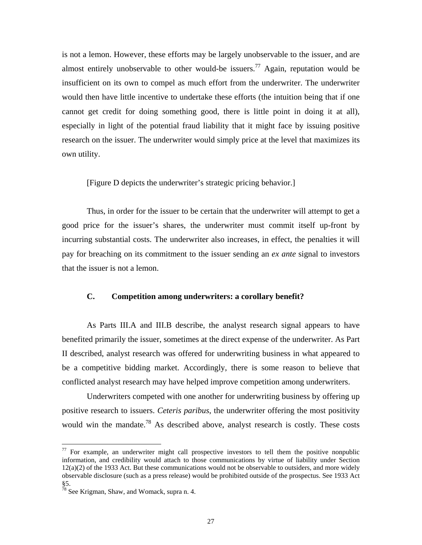is not a lemon. However, these efforts may be largely unobservable to the issuer, and are almost entirely unobservable to other would-be issuers.<sup>77</sup> Again, reputation would be insufficient on its own to compel as much effort from the underwriter. The underwriter would then have little incentive to undertake these efforts (the intuition being that if one cannot get credit for doing something good, there is little point in doing it at all), especially in light of the potential fraud liability that it might face by issuing positive research on the issuer. The underwriter would simply price at the level that maximizes its own utility.

[Figure D depicts the underwriter's strategic pricing behavior.]

Thus, in order for the issuer to be certain that the underwriter will attempt to get a good price for the issuer's shares, the underwriter must commit itself up-front by incurring substantial costs. The underwriter also increases, in effect, the penalties it will pay for breaching on its commitment to the issuer sending an *ex ante* signal to investors that the issuer is not a lemon.

### **C. Competition among underwriters: a corollary benefit?**

As Parts III.A and III.B describe, the analyst research signal appears to have benefited primarily the issuer, sometimes at the direct expense of the underwriter. As Part II described, analyst research was offered for underwriting business in what appeared to be a competitive bidding market. Accordingly, there is some reason to believe that conflicted analyst research may have helped improve competition among underwriters.

Underwriters competed with one another for underwriting business by offering up positive research to issuers. *Ceteris paribus*, the underwriter offering the most positivity would win the mandate.<sup>78</sup> As described above, analyst research is costly. These costs

<span id="page-30-0"></span> $77$  For example, an underwriter might call prospective investors to tell them the positive nonpublic information, and credibility would attach to those communications by virtue of liability under Section 12(a)(2) of the 1933 Act. But these communications would not be observable to outsiders, and more widely observable disclosure (such as a press release) would be prohibited outside of the prospectus. See 1933 Act §5.

<span id="page-30-1"></span> $78$  See Krigman, Shaw, and Womack, supra n. 4.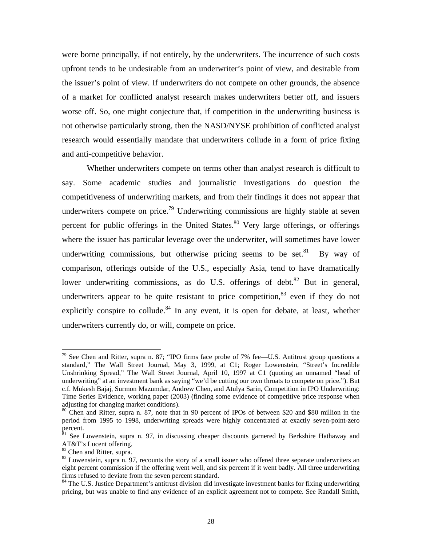<span id="page-31-5"></span>were borne principally, if not entirely, by the underwriters. The incurrence of such costs upfront tends to be undesirable from an underwriter's point of view, and desirable from the issuer's point of view. If underwriters do not compete on other grounds, the absence of a market for conflicted analyst research makes underwriters better off, and issuers worse off. So, one might conjecture that, if competition in the underwriting business is not otherwise particularly strong, then the NASD/NYSE prohibition of conflicted analyst research would essentially mandate that underwriters collude in a form of price fixing and anti-competitive behavior.

Whether underwriters compete on terms other than analyst research is difficult to say. Some academic studies and journalistic investigations do question the competitiveness of underwriting markets, and from their findings it does not appear that underwriters compete on price.<sup>79</sup> Underwriting commissions are highly stable at seven percent for public offerings in the United States.<sup>80</sup> Very large offerings, or offerings where the issuer has particular leverage over the underwriter, will sometimes have lower underwriting commissions, but otherwise pricing seems to be set.<sup>81</sup> By way of comparison, offerings outside of the U.S., especially Asia, tend to have dramatically lower underwriting commissions, as do U.S. offerings of debt.<sup>82</sup> But in general, underwriters appear to be quite resistant to price competition,  $83$  even if they do not explicitly conspire to collude.<sup>84</sup> In any event, it is open for debate, at least, whether underwriters currently do, or will, compete on price.

<span id="page-31-0"></span> $79$  See Chen and Ritter, supra n. 87; "IPO firms face probe of 7% fee—U.S. Antitrust group questions a standard," The Wall Street Journal, May 3, 1999, at C1; Roger Lowenstein, "Street's Incredible Unshrinking Spread," The Wall Street Journal, April 10, 1997 at C1 (quoting an unnamed "head of underwriting" at an investment bank as saying "we'd be cutting our own throats to compete on price."). But c.f. Mukesh Bajaj, Surmon Mazumdar, Andrew Chen, and Atulya Sarin, Competition in IPO Underwriting: Time Series Evidence, working paper (2003) (finding some evidence of competitive price response when adjusting for changing market conditions).

<span id="page-31-1"></span> $80$  Chen and Ritter, supra n. 87, note that in 90 percent of IPOs of between \$20 and \$80 million in the period from 1995 to 1998, underwriting spreads were highly concentrated at exactly seven-point-zero percent.

<span id="page-31-2"></span><sup>&</sup>lt;sup>81</sup> See Lowenstein, supra n. 97, in discussing cheaper discounts garnered by Berkshire Hathaway and AT&T's Lucent offering.<br><sup>82</sup> Chen and Ritter, supra.

<span id="page-31-3"></span>

<span id="page-31-4"></span><sup>&</sup>lt;sup>83</sup> Lowenstein, supra n. 97, recounts the story of a small issuer who offered three separate underwriters an eight percent commission if the offering went well, and six percent if it went badly. All three underwriting firms refused to deviate from the seven percent standard.<br><sup>84</sup> The U.S. Justice Department's antitrust division did investigate investment banks for fixing underwriting

pricing, but was unable to find any evidence of an explicit agreement not to compete. See Randall Smith,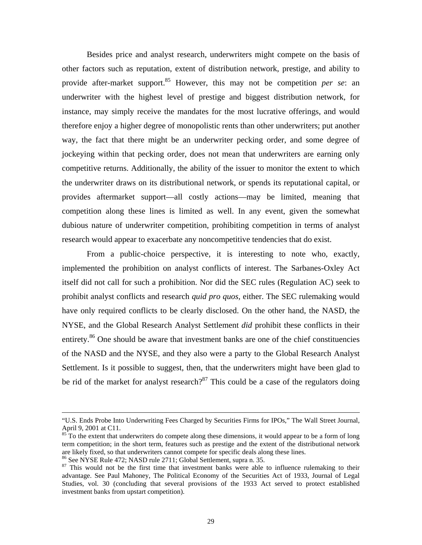Besides price and analyst research, underwriters might compete on the basis of other factors such as reputation, extent of distribution network, prestige, and ability to provide after-market support[.85](#page-32-0) However, this may not be competition *per se*: an underwriter with the highest level of prestige and biggest distribution network, for instance, may simply receive the mandates for the most lucrative offerings, and would therefore enjoy a higher degree of monopolistic rents than other underwriters; put another way, the fact that there might be an underwriter pecking order, and some degree of jockeying within that pecking order, does not mean that underwriters are earning only competitive returns. Additionally, the ability of the issuer to monitor the extent to which the underwriter draws on its distributional network, or spends its reputational capital, or provides aftermarket support—all costly actions—may be limited, meaning that competition along these lines is limited as well. In any event, given the somewhat dubious nature of underwriter competition, prohibiting competition in terms of analyst research would appear to exacerbate any noncompetitive tendencies that do exist.

From a public-choice perspective, it is interesting to note who, exactly, implemented the prohibition on analyst conflicts of interest. The Sarbanes-Oxley Act itself did not call for such a prohibition. Nor did the SEC rules (Regulation AC) seek to prohibit analyst conflicts and research *quid pro quos,* either. The SEC rulemaking would have only required conflicts to be clearly disclosed. On the other hand, the NASD, the NYSE, and the Global Research Analyst Settlement *did* prohibit these conflicts in their entirety.<sup>86</sup> One should be aware that investment banks are one of the chief constituencies of the NASD and the NYSE, and they also were a party to the Global Research Analyst Settlement. Is it possible to suggest, then, that the underwriters might have been glad to be rid of the market for analyst research? $87$  This could be a case of the regulators doing

1

<sup>&</sup>quot;U.S. Ends Probe Into Underwriting Fees Charged by Securities Firms for IPOs," The Wall Street Journal, April 9, 2001 at C11.<br><sup>85</sup> To the extent that underwriters do compete along these dimensions, it would appear to be a form of long

<span id="page-32-0"></span>term competition; in the short term, features such as prestige and the extent of the distributional network are likely fixed, so that underwriters cannot compete for specific deals along these lines.<br><sup>86</sup> See NYSE Rule 472; NASD rule 2711; Global Settlement, supra n. 35.<br><sup>87</sup> This would not be the first time that investment bank

<span id="page-32-1"></span>

<span id="page-32-2"></span>advantage. See Paul Mahoney, The Political Economy of the Securities Act of 1933, Journal of Legal Studies, vol. 30 (concluding that several provisions of the 1933 Act served to protect established investment banks from upstart competition).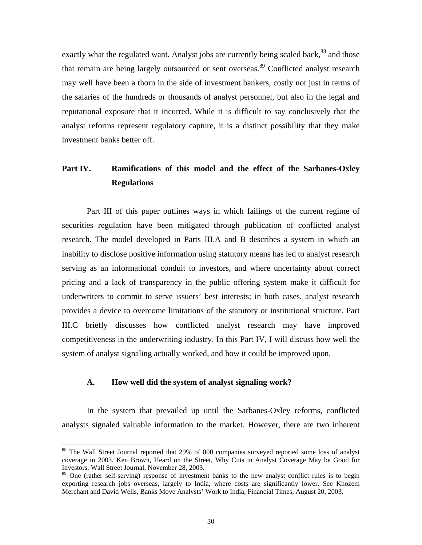exactly what the regulated want. Analyst jobs are currently being scaled back,<sup>88</sup> and those that remain are being largely outsourced or sent overseas.<sup>89</sup> Conflicted analyst research may well have been a thorn in the side of investment bankers, costly not just in terms of the salaries of the hundreds or thousands of analyst personnel, but also in the legal and reputational exposure that it incurred. While it is difficult to say conclusively that the analyst reforms represent regulatory capture, it is a distinct possibility that they make investment banks better off.

# **Part IV. Ramifications of this model and the effect of the Sarbanes-Oxley Regulations**

Part III of this paper outlines ways in which failings of the current regime of securities regulation have been mitigated through publication of conflicted analyst research. The model developed in Parts III.A and B describes a system in which an inability to disclose positive information using statutory means has led to analyst research serving as an informational conduit to investors, and where uncertainty about correct pricing and a lack of transparency in the public offering system make it difficult for underwriters to commit to serve issuers' best interests; in both cases, analyst research provides a device to overcome limitations of the statutory or institutional structure. Part III.C briefly discusses how conflicted analyst research may have improved competitiveness in the underwriting industry. In this Part IV, I will discuss how well the system of analyst signaling actually worked, and how it could be improved upon.

### **A. How well did the system of analyst signaling work?**

In the system that prevailed up until the Sarbanes-Oxley reforms, conflicted analysts signaled valuable information to the market. However, there are two inherent

<span id="page-33-0"></span><sup>&</sup>lt;sup>88</sup> The Wall Street Journal reported that 29% of 800 companies surveyed reported some loss of analyst coverage in 2003. Ken Brown, Heard on the Street, Why Cuts in Analyst Coverage May be Good for Investors, Wall Street Journal, November 28, 2003.

<span id="page-33-1"></span><sup>&</sup>lt;sup>89</sup> One (rather self-serving) response of investment banks to the new analyst conflict rules is to begin exporting research jobs overseas, largely to India, where costs are significantly lower. See Khozem Merchant and David Wells, Banks Move Analysts' Work to India, Financial Times, August 20, 2003.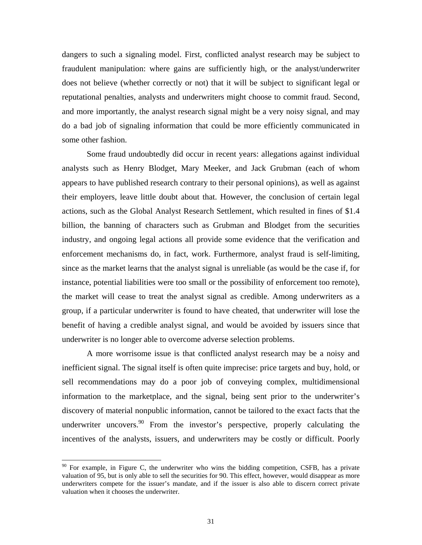dangers to such a signaling model. First, conflicted analyst research may be subject to fraudulent manipulation: where gains are sufficiently high, or the analyst/underwriter does not believe (whether correctly or not) that it will be subject to significant legal or reputational penalties, analysts and underwriters might choose to commit fraud. Second, and more importantly, the analyst research signal might be a very noisy signal, and may do a bad job of signaling information that could be more efficiently communicated in some other fashion.

Some fraud undoubtedly did occur in recent years: allegations against individual analysts such as Henry Blodget, Mary Meeker, and Jack Grubman (each of whom appears to have published research contrary to their personal opinions), as well as against their employers, leave little doubt about that. However, the conclusion of certain legal actions, such as the Global Analyst Research Settlement, which resulted in fines of \$1.4 billion, the banning of characters such as Grubman and Blodget from the securities industry, and ongoing legal actions all provide some evidence that the verification and enforcement mechanisms do, in fact, work. Furthermore, analyst fraud is self-limiting, since as the market learns that the analyst signal is unreliable (as would be the case if, for instance, potential liabilities were too small or the possibility of enforcement too remote), the market will cease to treat the analyst signal as credible. Among underwriters as a group, if a particular underwriter is found to have cheated, that underwriter will lose the benefit of having a credible analyst signal, and would be avoided by issuers since that underwriter is no longer able to overcome adverse selection problems.

A more worrisome issue is that conflicted analyst research may be a noisy and inefficient signal. The signal itself is often quite imprecise: price targets and buy, hold, or sell recommendations may do a poor job of conveying complex, multidimensional information to the marketplace, and the signal, being sent prior to the underwriter's discovery of material nonpublic information, cannot be tailored to the exact facts that the underwriter uncovers. The investor's perspective, properly calculating the incentives of the analysts, issuers, and underwriters may be costly or difficult. Poorly

<span id="page-34-0"></span> $90$  For example, in Figure C, the underwriter who wins the bidding competition, CSFB, has a private valuation of 95, but is only able to sell the securities for 90. This effect, however, would disappear as more underwriters compete for the issuer's mandate, and if the issuer is also able to discern correct private valuation when it chooses the underwriter.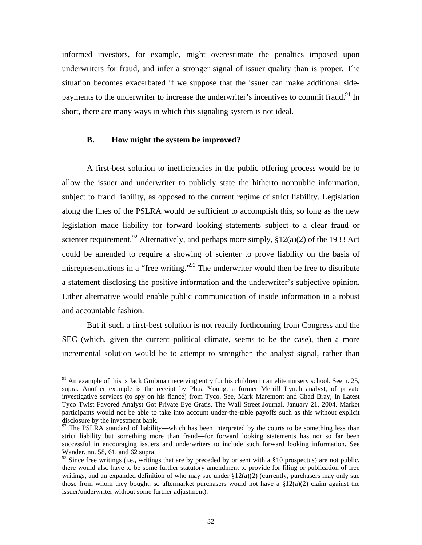informed investors, for example, might overestimate the penalties imposed upon underwriters for fraud, and infer a stronger signal of issuer quality than is proper. The situation becomes exacerbated if we suppose that the issuer can make additional sidepayments to the underwriter to increase the underwriter's incentives to commit fraud.<sup>91</sup> In short, there are many ways in which this signaling system is not ideal.

### **B. How might the system be improved?**

A first-best solution to inefficiencies in the public offering process would be to allow the issuer and underwriter to publicly state the hitherto nonpublic information, subject to fraud liability, as opposed to the current regime of strict liability. Legislation along the lines of the PSLRA would be sufficient to accomplish this, so long as the new legislation made liability for forward looking statements subject to a clear fraud or scienter requirement.<sup>92</sup> Alternatively, and perhaps more simply,  $\S 12(a)(2)$  of the 1933 Act could be amended to require a showing of scienter to prove liability on the basis of misrepresentations in a "free writing."[93](#page-35-2) The underwriter would then be free to distribute a statement disclosing the positive information and the underwriter's subjective opinion. Either alternative would enable public communication of inside information in a robust and accountable fashion.

But if such a first-best solution is not readily forthcoming from Congress and the SEC (which, given the current political climate, seems to be the case), then a more incremental solution would be to attempt to strengthen the analyst signal, rather than

<span id="page-35-0"></span> $91$  An example of this is Jack Grubman receiving entry for his children in an elite nursery school. See n. 25, supra. Another example is the receipt by Phua Young, a former Merrill Lynch analyst, of private investigative services (to spy on his fiancé) from Tyco. See, Mark Maremont and Chad Bray, In Latest Tyco Twist Favored Analyst Got Private Eye Gratis, The Wall Street Journal, January 21, 2004. Market participants would not be able to take into account under-the-table payoffs such as this without explicit disclosure by the investment bank.

<span id="page-35-1"></span> $92$  The PSLRA standard of liability—which has been interpreted by the courts to be something less than strict liability but something more than fraud—for forward looking statements has not so far been successful in encouraging issuers and underwriters to include such forward looking information. See Wander, nn. 58, 61, and 62 supra.

<span id="page-35-2"></span><sup>&</sup>lt;sup>93</sup> Since free writings (i.e., writings that are by preceded by or sent with a §10 prospectus) are not public, there would also have to be some further statutory amendment to provide for filing or publication of free writings, and an expanded definition of who may sue under  $\S12(a)(2)$  (currently, purchasers may only sue those from whom they bought, so aftermarket purchasers would not have a  $\S12(a)(2)$  claim against the issuer/underwriter without some further adjustment).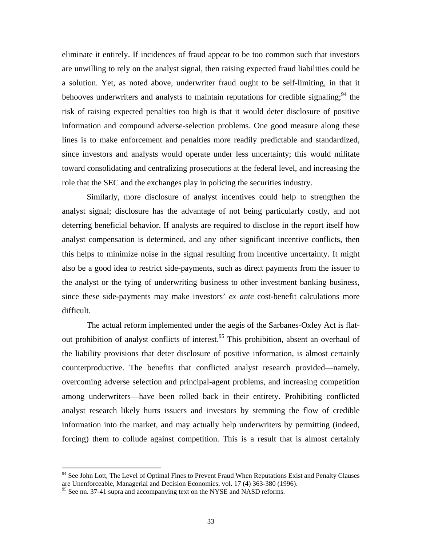eliminate it entirely. If incidences of fraud appear to be too common such that investors are unwilling to rely on the analyst signal, then raising expected fraud liabilities could be a solution. Yet, as noted above, underwriter fraud ought to be self-limiting, in that it behooves underwriters and analysts to maintain reputations for credible signaling;  $94$  the risk of raising expected penalties too high is that it would deter disclosure of positive information and compound adverse-selection problems. One good measure along these lines is to make enforcement and penalties more readily predictable and standardized, since investors and analysts would operate under less uncertainty; this would militate toward consolidating and centralizing prosecutions at the federal level, and increasing the role that the SEC and the exchanges play in policing the securities industry.

Similarly, more disclosure of analyst incentives could help to strengthen the analyst signal; disclosure has the advantage of not being particularly costly, and not deterring beneficial behavior. If analysts are required to disclose in the report itself how analyst compensation is determined, and any other significant incentive conflicts, then this helps to minimize noise in the signal resulting from incentive uncertainty. It might also be a good idea to restrict side-payments, such as direct payments from the issuer to the analyst or the tying of underwriting business to other investment banking business, since these side-payments may make investors' *ex ante* cost-benefit calculations more difficult.

The actual reform implemented under the aegis of the Sarbanes-Oxley Act is flatout prohibition of analyst conflicts of interest.<sup>95</sup> This prohibition, absent an overhaul of the liability provisions that deter disclosure of positive information, is almost certainly counterproductive. The benefits that conflicted analyst research provided—namely, overcoming adverse selection and principal-agent problems, and increasing competition among underwriters—have been rolled back in their entirety. Prohibiting conflicted analyst research likely hurts issuers and investors by stemming the flow of credible information into the market, and may actually help underwriters by permitting (indeed, forcing) them to collude against competition. This is a result that is almost certainly

<span id="page-36-0"></span><sup>&</sup>lt;sup>94</sup> See John Lott, The Level of Optimal Fines to Prevent Fraud When Reputations Exist and Penalty Clauses are Unenforceable, Managerial and Decision Economics, vol. 17 (4) 363-380 (1996).

<span id="page-36-1"></span><sup>&</sup>lt;sup>95</sup> See nn. 37-41 supra and accompanying text on the NYSE and NASD reforms.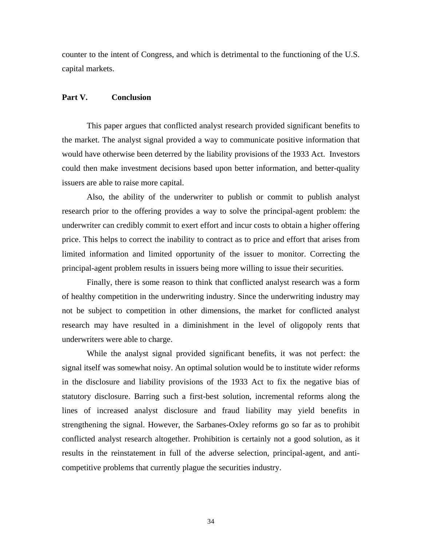counter to the intent of Congress, and which is detrimental to the functioning of the U.S. capital markets.

### **Part V. Conclusion**

This paper argues that conflicted analyst research provided significant benefits to the market. The analyst signal provided a way to communicate positive information that would have otherwise been deterred by the liability provisions of the 1933 Act. Investors could then make investment decisions based upon better information, and better-quality issuers are able to raise more capital.

Also, the ability of the underwriter to publish or commit to publish analyst research prior to the offering provides a way to solve the principal-agent problem: the underwriter can credibly commit to exert effort and incur costs to obtain a higher offering price. This helps to correct the inability to contract as to price and effort that arises from limited information and limited opportunity of the issuer to monitor. Correcting the principal-agent problem results in issuers being more willing to issue their securities.

Finally, there is some reason to think that conflicted analyst research was a form of healthy competition in the underwriting industry. Since the underwriting industry may not be subject to competition in other dimensions, the market for conflicted analyst research may have resulted in a diminishment in the level of oligopoly rents that underwriters were able to charge.

While the analyst signal provided significant benefits, it was not perfect: the signal itself was somewhat noisy. An optimal solution would be to institute wider reforms in the disclosure and liability provisions of the 1933 Act to fix the negative bias of statutory disclosure. Barring such a first-best solution, incremental reforms along the lines of increased analyst disclosure and fraud liability may yield benefits in strengthening the signal. However, the Sarbanes-Oxley reforms go so far as to prohibit conflicted analyst research altogether. Prohibition is certainly not a good solution, as it results in the reinstatement in full of the adverse selection, principal-agent, and anticompetitive problems that currently plague the securities industry.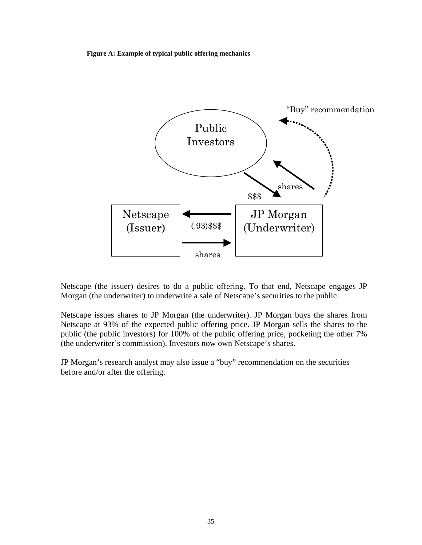**Figure A: Example of typical public offering mechanics** 



Netscape (the issuer) desires to do a public offering. To that end, Netscape engages JP Morgan (the underwriter) to underwrite a sale of Netscape's securities to the public.

Netscape issues shares to JP Morgan (the underwriter). JP Morgan buys the shares from Netscape at 93% of the expected public offering price. JP Morgan sells the shares to the public (the public investors) for 100% of the public offering price, pocketing the other 7% (the underwriter's commission). Investors now own Netscape's shares.

JP Morgan's research analyst may also issue a "buy" recommendation on the securities before and/or after the offering.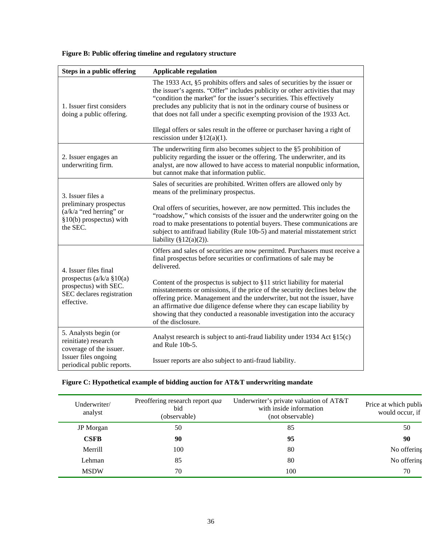### **Figure B: Public offering timeline and regulatory structure**

| Steps in a public offering                                                                                                     | <b>Applicable regulation</b>                                                                                                                                                                                                                                                                                                                                                                                                                                                |  |  |
|--------------------------------------------------------------------------------------------------------------------------------|-----------------------------------------------------------------------------------------------------------------------------------------------------------------------------------------------------------------------------------------------------------------------------------------------------------------------------------------------------------------------------------------------------------------------------------------------------------------------------|--|--|
| 1. Issuer first considers<br>doing a public offering.                                                                          | The 1933 Act, §5 prohibits offers and sales of securities by the issuer or<br>the issuer's agents. "Offer" includes publicity or other activities that may<br>"condition the market" for the issuer's securities. This effectively<br>precludes any publicity that is not in the ordinary course of business or<br>that does not fall under a specific exempting provision of the 1933 Act.<br>Illegal offers or sales result in the offeree or purchaser having a right of |  |  |
|                                                                                                                                | rescission under $\S 12(a)(1)$ .                                                                                                                                                                                                                                                                                                                                                                                                                                            |  |  |
| 2. Issuer engages an<br>underwriting firm.                                                                                     | The underwriting firm also becomes subject to the §5 prohibition of<br>publicity regarding the issuer or the offering. The underwriter, and its<br>analyst, are now allowed to have access to material nonpublic information,<br>but cannot make that information public.                                                                                                                                                                                                   |  |  |
| 3. Issuer files a<br>preliminary prospectus<br>$(a/k/a$ "red herring" or<br>$§10(b)$ prospectus) with<br>the SEC.              | Sales of securities are prohibited. Written offers are allowed only by<br>means of the preliminary prospectus.                                                                                                                                                                                                                                                                                                                                                              |  |  |
|                                                                                                                                | Oral offers of securities, however, are now permitted. This includes the<br>"roadshow," which consists of the issuer and the underwriter going on the<br>road to make presentations to potential buyers. These communications are<br>subject to antifraud liability (Rule 10b-5) and material misstatement strict<br>liability $(\S12(a)(2))$ .                                                                                                                             |  |  |
| 4. Issuer files final<br>prospectus ( $a/k/a$ §10( $a$ )<br>prospectus) with SEC.<br>SEC declares registration<br>effective.   | Offers and sales of securities are now permitted. Purchasers must receive a<br>final prospectus before securities or confirmations of sale may be<br>delivered.                                                                                                                                                                                                                                                                                                             |  |  |
|                                                                                                                                | Content of the prospectus is subject to §11 strict liability for material<br>misstatements or omissions, if the price of the security declines below the<br>offering price. Management and the underwriter, but not the issuer, have<br>an affirmative due diligence defense where they can escape liability by<br>showing that they conducted a reasonable investigation into the accuracy<br>of the disclosure.                                                           |  |  |
| 5. Analysts begin (or<br>reinitiate) research<br>coverage of the issuer.<br>Issuer files ongoing<br>periodical public reports. | Analyst research is subject to anti-fraud liability under 1934 Act §15(c)<br>and Rule 10b-5.                                                                                                                                                                                                                                                                                                                                                                                |  |  |
|                                                                                                                                | Issuer reports are also subject to anti-fraud liability.                                                                                                                                                                                                                                                                                                                                                                                                                    |  |  |

### **Figure C: Hypothetical example of bidding auction for AT&T underwriting mandate**

| Underwriter/<br>analyst | Preoffering research report qua<br>bid<br>(observable) | Underwriter's private valuation of AT&T<br>with inside information<br>(not observable) | Price at which public<br>would occur, if |
|-------------------------|--------------------------------------------------------|----------------------------------------------------------------------------------------|------------------------------------------|
| JP Morgan               | 50                                                     | 85                                                                                     | 50                                       |
| <b>CSFB</b>             | 90                                                     | 95                                                                                     | 90                                       |
| Merrill                 | 100                                                    | 80                                                                                     | No offering                              |
| Lehman                  | 85                                                     | 80                                                                                     | No offering                              |
| <b>MSDW</b>             | 70                                                     | 100                                                                                    | 70                                       |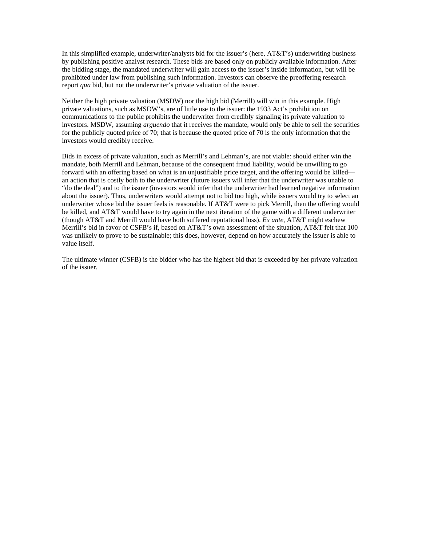In this simplified example, underwriter/analysts bid for the issuer's (here, AT&T's) underwriting business by publishing positive analyst research. These bids are based only on publicly available information. After the bidding stage, the mandated underwriter will gain access to the issuer's inside information, but will be prohibited under law from publishing such information. Investors can observe the preoffering research report *qua* bid, but not the underwriter's private valuation of the issuer.

Neither the high private valuation (MSDW) nor the high bid (Merrill) will win in this example. High private valuations, such as MSDW's, are of little use to the issuer: the 1933 Act's prohibition on communications to the public prohibits the underwriter from credibly signaling its private valuation to investors. MSDW, assuming *arguendo* that it receives the mandate, would only be able to sell the securities for the publicly quoted price of 70; that is because the quoted price of 70 is the only information that the investors would credibly receive.

Bids in excess of private valuation, such as Merrill's and Lehman's, are not viable: should either win the mandate, both Merrill and Lehman, because of the consequent fraud liability, would be unwilling to go forward with an offering based on what is an unjustifiable price target, and the offering would be killed an action that is costly both to the underwriter (future issuers will infer that the underwriter was unable to "do the deal") and to the issuer (investors would infer that the underwriter had learned negative information about the issuer). Thus, underwriters would attempt not to bid too high, while issuers would try to select an underwriter whose bid the issuer feels is reasonable. If AT&T were to pick Merrill, then the offering would be killed, and AT&T would have to try again in the next iteration of the game with a different underwriter (though AT&T and Merrill would have both suffered reputational loss). *Ex ante*, AT&T might eschew Merrill's bid in favor of CSFB's if, based on AT&T's own assessment of the situation, AT&T felt that 100 was unlikely to prove to be sustainable; this does, however, depend on how accurately the issuer is able to value itself.

The ultimate winner (CSFB) is the bidder who has the highest bid that is exceeded by her private valuation of the issuer.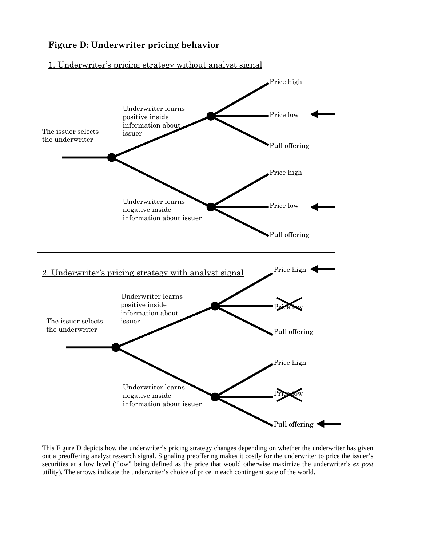### **Figure D: Underwriter pricing behavior**

### 1. Underwriter's pricing strategy without analyst signal



This Figure D depicts how the underwriter's pricing strategy changes depending on whether the underwriter has given out a preoffering analyst research signal. Signaling preoffering makes it costly for the underwriter to price the issuer's securities at a low level ("low" being defined as the price that would otherwise maximize the underwriter's *ex post* utility). The arrows indicate the underwriter's choice of price in each contingent state of the world.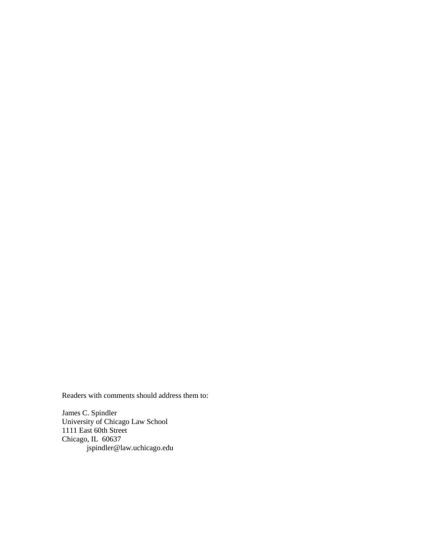Readers with comments should address them to:

James C. Spindler University of Chicago Law School 1111 East 60th Street Chicago, IL 60637 jspindler@law.uchicago.edu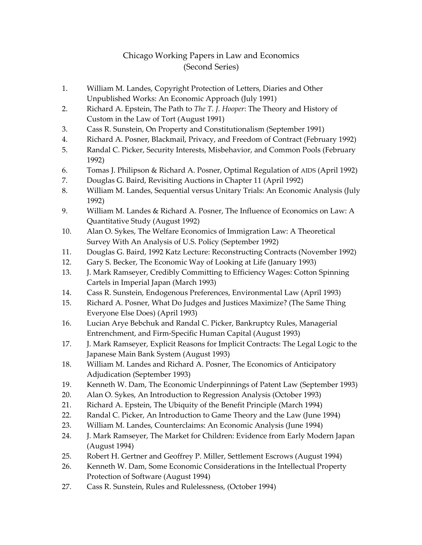### Chicago Working Papers in Law and Economics (Second Series)

- 1. William M. Landes, Copyright Protection of Letters, Diaries and Other Unpublished Works: An Economic Approach (July 1991)
- 2. Richard A. Epstein, The Path to *The T. J. Hooper*: The Theory and History of Custom in the Law of Tort (August 1991)
- 3. Cass R. Sunstein, On Property and Constitutionalism (September 1991)
- 4. Richard A. Posner, Blackmail, Privacy, and Freedom of Contract (February 1992)
- 5. Randal C. Picker, Security Interests, Misbehavior, and Common Pools (February 1992)
- 6. Tomas J. Philipson & Richard A. Posner, Optimal Regulation of AIDS (April 1992)
- 7. Douglas G. Baird, Revisiting Auctions in Chapter 11 (April 1992)
- 8. William M. Landes, Sequential versus Unitary Trials: An Economic Analysis (July 1992)
- 9. William M. Landes & Richard A. Posner, The Influence of Economics on Law: A Quantitative Study (August 1992)
- 10. Alan O. Sykes, The Welfare Economics of Immigration Law: A Theoretical Survey With An Analysis of U.S. Policy (September 1992)
- 11. Douglas G. Baird, 1992 Katz Lecture: Reconstructing Contracts (November 1992)
- 12. Gary S. Becker, The Economic Way of Looking at Life (January 1993)
- 13. J. Mark Ramseyer, Credibly Committing to Efficiency Wages: Cotton Spinning Cartels in Imperial Japan (March 1993)
- 14. Cass R. Sunstein, Endogenous Preferences, Environmental Law (April 1993)
- 15. Richard A. Posner, What Do Judges and Justices Maximize? (The Same Thing Everyone Else Does) (April 1993)
- 16. Lucian Arye Bebchuk and Randal C. Picker, Bankruptcy Rules, Managerial Entrenchment, and Firm-Specific Human Capital (August 1993)
- 17. J. Mark Ramseyer, Explicit Reasons for Implicit Contracts: The Legal Logic to the Japanese Main Bank System (August 1993)
- 18. William M. Landes and Richard A. Posner, The Economics of Anticipatory Adjudication (September 1993)
- 19. Kenneth W. Dam, The Economic Underpinnings of Patent Law (September 1993)
- 20. Alan O. Sykes, An Introduction to Regression Analysis (October 1993)
- 21. Richard A. Epstein, The Ubiquity of the Benefit Principle (March 1994)
- 22. Randal C. Picker, An Introduction to Game Theory and the Law (June 1994)
- 23. William M. Landes, Counterclaims: An Economic Analysis (June 1994)
- 24. J. Mark Ramseyer, The Market for Children: Evidence from Early Modern Japan (August 1994)
- 25. Robert H. Gertner and Geoffrey P. Miller, Settlement Escrows (August 1994)
- 26. Kenneth W. Dam, Some Economic Considerations in the Intellectual Property Protection of Software (August 1994)
- 27. Cass R. Sunstein, Rules and Rulelessness, (October 1994)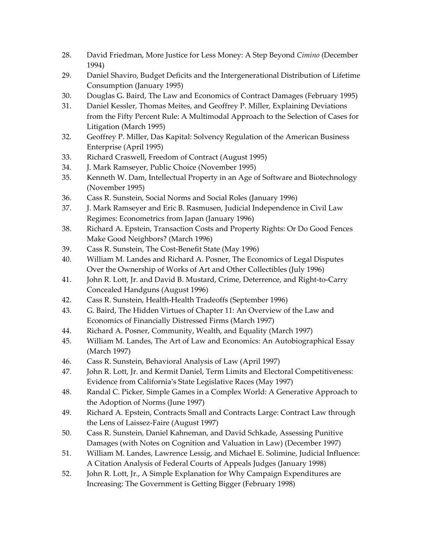- 28. David Friedman, More Justice for Less Money: A Step Beyond *Cimino* (December 1994)
- 29. Daniel Shaviro, Budget Deficits and the Intergenerational Distribution of Lifetime Consumption (January 1995)
- 30. Douglas G. Baird, The Law and Economics of Contract Damages (February 1995)
- 31. Daniel Kessler, Thomas Meites, and Geoffrey P. Miller, Explaining Deviations from the Fifty Percent Rule: A Multimodal Approach to the Selection of Cases for Litigation (March 1995)
- 32. Geoffrey P. Miller, Das Kapital: Solvency Regulation of the American Business Enterprise (April 1995)
- 33. Richard Craswell, Freedom of Contract (August 1995)
- 34. J. Mark Ramseyer, Public Choice (November 1995)
- 35. Kenneth W. Dam, Intellectual Property in an Age of Software and Biotechnology (November 1995)
- 36. Cass R. Sunstein, Social Norms and Social Roles (January 1996)
- 37. J. Mark Ramseyer and Eric B. Rasmusen, Judicial Independence in Civil Law Regimes: Econometrics from Japan (January 1996)
- 38. Richard A. Epstein, Transaction Costs and Property Rights: Or Do Good Fences Make Good Neighbors? (March 1996)
- 39. Cass R. Sunstein, The Cost-Benefit State (May 1996)
- 40. William M. Landes and Richard A. Posner, The Economics of Legal Disputes Over the Ownership of Works of Art and Other Collectibles (July 1996)
- 41. John R. Lott, Jr. and David B. Mustard, Crime, Deterrence, and Right-to-Carry Concealed Handguns (August 1996)
- 42. Cass R. Sunstein, Health-Health Tradeoffs (September 1996)
- 43. G. Baird, The Hidden Virtues of Chapter 11: An Overview of the Law and Economics of Financially Distressed Firms (March 1997)
- 44. Richard A. Posner, Community, Wealth, and Equality (March 1997)
- 45. William M. Landes, The Art of Law and Economics: An Autobiographical Essay (March 1997)
- 46. Cass R. Sunstein, Behavioral Analysis of Law (April 1997)
- 47. John R. Lott, Jr. and Kermit Daniel, Term Limits and Electoral Competitiveness: Evidence from California's State Legislative Races (May 1997)
- 48. Randal C. Picker, Simple Games in a Complex World: A Generative Approach to the Adoption of Norms (June 1997)
- 49. Richard A. Epstein, Contracts Small and Contracts Large: Contract Law through the Lens of Laissez-Faire (August 1997)
- 50. Cass R. Sunstein, Daniel Kahneman, and David Schkade, Assessing Punitive Damages (with Notes on Cognition and Valuation in Law) (December 1997)
- 51. William M. Landes, Lawrence Lessig, and Michael E. Solimine, Judicial Influence: A Citation Analysis of Federal Courts of Appeals Judges (January 1998)
- 52. John R. Lott, Jr., A Simple Explanation for Why Campaign Expenditures are Increasing: The Government is Getting Bigger (February 1998)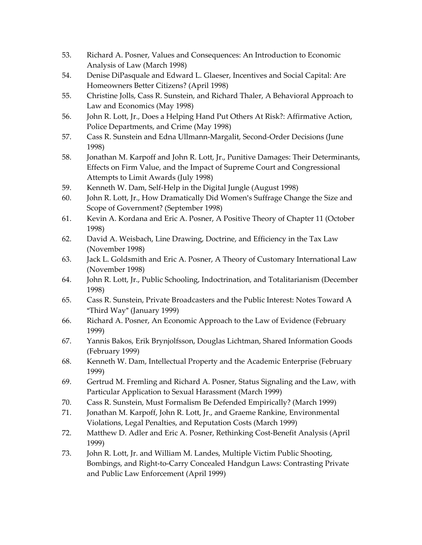- 53. Richard A. Posner, Values and Consequences: An Introduction to Economic Analysis of Law (March 1998)
- 54. Denise DiPasquale and Edward L. Glaeser, Incentives and Social Capital: Are Homeowners Better Citizens? (April 1998)
- 55. Christine Jolls, Cass R. Sunstein, and Richard Thaler, A Behavioral Approach to Law and Economics (May 1998)
- 56. John R. Lott, Jr., Does a Helping Hand Put Others At Risk?: Affirmative Action, Police Departments, and Crime (May 1998)
- 57. Cass R. Sunstein and Edna Ullmann-Margalit, Second-Order Decisions (June 1998)
- 58. Jonathan M. Karpoff and John R. Lott, Jr., Punitive Damages: Their Determinants, Effects on Firm Value, and the Impact of Supreme Court and Congressional Attempts to Limit Awards (July 1998)
- 59. Kenneth W. Dam, Self-Help in the Digital Jungle (August 1998)
- 60. John R. Lott, Jr., How Dramatically Did Women's Suffrage Change the Size and Scope of Government? (September 1998)
- 61. Kevin A. Kordana and Eric A. Posner, A Positive Theory of Chapter 11 (October 1998)
- 62. David A. Weisbach, Line Drawing, Doctrine, and Efficiency in the Tax Law (November 1998)
- 63. Jack L. Goldsmith and Eric A. Posner, A Theory of Customary International Law (November 1998)
- 64. John R. Lott, Jr., Public Schooling, Indoctrination, and Totalitarianism (December 1998)
- 65. Cass R. Sunstein, Private Broadcasters and the Public Interest: Notes Toward A "Third Way" (January 1999)
- 66. Richard A. Posner, An Economic Approach to the Law of Evidence (February 1999)
- 67. Yannis Bakos, Erik Brynjolfsson, Douglas Lichtman, Shared Information Goods (February 1999)
- 68. Kenneth W. Dam, Intellectual Property and the Academic Enterprise (February 1999)
- 69. Gertrud M. Fremling and Richard A. Posner, Status Signaling and the Law, with Particular Application to Sexual Harassment (March 1999)
- 70. Cass R. Sunstein, Must Formalism Be Defended Empirically? (March 1999)
- 71. Jonathan M. Karpoff, John R. Lott, Jr., and Graeme Rankine, Environmental Violations, Legal Penalties, and Reputation Costs (March 1999)
- 72. Matthew D. Adler and Eric A. Posner, Rethinking Cost-Benefit Analysis (April 1999)
- 73. John R. Lott, Jr. and William M. Landes, Multiple Victim Public Shooting, Bombings, and Right-to-Carry Concealed Handgun Laws: Contrasting Private and Public Law Enforcement (April 1999)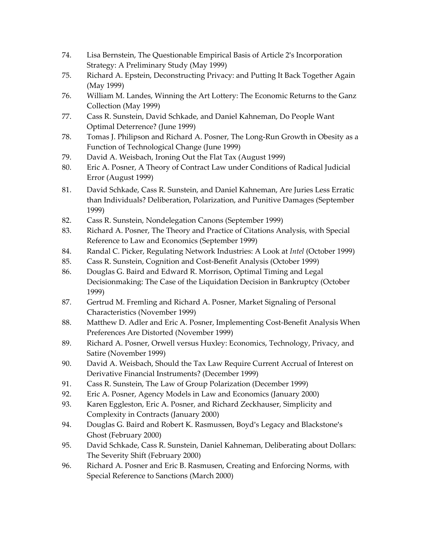- 74. Lisa Bernstein, The Questionable Empirical Basis of Article 2's Incorporation Strategy: A Preliminary Study (May 1999)
- 75. Richard A. Epstein, Deconstructing Privacy: and Putting It Back Together Again (May 1999)
- 76. William M. Landes, Winning the Art Lottery: The Economic Returns to the Ganz Collection (May 1999)
- 77. Cass R. Sunstein, David Schkade, and Daniel Kahneman, Do People Want Optimal Deterrence? (June 1999)
- 78. Tomas J. Philipson and Richard A. Posner, The Long-Run Growth in Obesity as a Function of Technological Change (June 1999)
- 79. David A. Weisbach, Ironing Out the Flat Tax (August 1999)
- 80. Eric A. Posner, A Theory of Contract Law under Conditions of Radical Judicial Error (August 1999)
- 81. David Schkade, Cass R. Sunstein, and Daniel Kahneman, Are Juries Less Erratic than Individuals? Deliberation, Polarization, and Punitive Damages (September 1999)
- 82. Cass R. Sunstein, Nondelegation Canons (September 1999)
- 83. Richard A. Posner, The Theory and Practice of Citations Analysis, with Special Reference to Law and Economics (September 1999)
- 84. Randal C. Picker, Regulating Network Industries: A Look at *Intel* (October 1999)
- 85. Cass R. Sunstein, Cognition and Cost-Benefit Analysis (October 1999)
- 86. Douglas G. Baird and Edward R. Morrison, Optimal Timing and Legal Decisionmaking: The Case of the Liquidation Decision in Bankruptcy (October 1999)
- 87. Gertrud M. Fremling and Richard A. Posner, Market Signaling of Personal Characteristics (November 1999)
- 88. Matthew D. Adler and Eric A. Posner, Implementing Cost-Benefit Analysis When Preferences Are Distorted (November 1999)
- 89. Richard A. Posner, Orwell versus Huxley: Economics, Technology, Privacy, and Satire (November 1999)
- 90. David A. Weisbach, Should the Tax Law Require Current Accrual of Interest on Derivative Financial Instruments? (December 1999)
- 91. Cass R. Sunstein, The Law of Group Polarization (December 1999)
- 92. Eric A. Posner, Agency Models in Law and Economics (January 2000)
- 93. Karen Eggleston, Eric A. Posner, and Richard Zeckhauser, Simplicity and Complexity in Contracts (January 2000)
- 94. Douglas G. Baird and Robert K. Rasmussen, Boyd's Legacy and Blackstone's Ghost (February 2000)
- 95. David Schkade, Cass R. Sunstein, Daniel Kahneman, Deliberating about Dollars: The Severity Shift (February 2000)
- 96. Richard A. Posner and Eric B. Rasmusen, Creating and Enforcing Norms, with Special Reference to Sanctions (March 2000)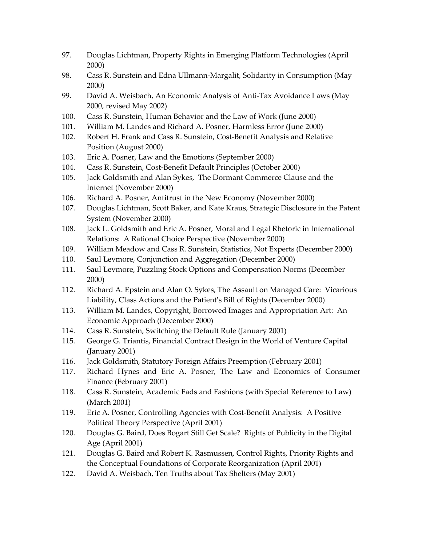- 97. Douglas Lichtman, Property Rights in Emerging Platform Technologies (April 2000)
- 98. Cass R. Sunstein and Edna Ullmann-Margalit, Solidarity in Consumption (May 2000)
- 99. David A. Weisbach, An Economic Analysis of Anti-Tax Avoidance Laws (May 2000, revised May 2002)
- 100. Cass R. Sunstein, Human Behavior and the Law of Work (June 2000)
- 101. William M. Landes and Richard A. Posner, Harmless Error (June 2000)
- 102. Robert H. Frank and Cass R. Sunstein, Cost-Benefit Analysis and Relative Position (August 2000)
- 103. Eric A. Posner, Law and the Emotions (September 2000)
- 104. Cass R. Sunstein, Cost-Benefit Default Principles (October 2000)
- 105. Jack Goldsmith and Alan Sykes, The Dormant Commerce Clause and the Internet (November 2000)
- 106. Richard A. Posner, Antitrust in the New Economy (November 2000)
- 107. Douglas Lichtman, Scott Baker, and Kate Kraus, Strategic Disclosure in the Patent System (November 2000)
- 108. Jack L. Goldsmith and Eric A. Posner, Moral and Legal Rhetoric in International Relations: A Rational Choice Perspective (November 2000)
- 109. William Meadow and Cass R. Sunstein, Statistics, Not Experts (December 2000)
- 110. Saul Levmore, Conjunction and Aggregation (December 2000)
- 111. Saul Levmore, Puzzling Stock Options and Compensation Norms (December 2000)
- 112. Richard A. Epstein and Alan O. Sykes, The Assault on Managed Care: Vicarious Liability, Class Actions and the Patient's Bill of Rights (December 2000)
- 113. William M. Landes, Copyright, Borrowed Images and Appropriation Art: An Economic Approach (December 2000)
- 114. Cass R. Sunstein, Switching the Default Rule (January 2001)
- 115. George G. Triantis, Financial Contract Design in the World of Venture Capital (January 2001)
- 116. Jack Goldsmith, Statutory Foreign Affairs Preemption (February 2001)
- 117. Richard Hynes and Eric A. Posner, The Law and Economics of Consumer Finance (February 2001)
- 118. Cass R. Sunstein, Academic Fads and Fashions (with Special Reference to Law) (March 2001)
- 119. Eric A. Posner, Controlling Agencies with Cost-Benefit Analysis: A Positive Political Theory Perspective (April 2001)
- 120. Douglas G. Baird, Does Bogart Still Get Scale? Rights of Publicity in the Digital Age (April 2001)
- 121. Douglas G. Baird and Robert K. Rasmussen, Control Rights, Priority Rights and the Conceptual Foundations of Corporate Reorganization (April 2001)
- 122. David A. Weisbach, Ten Truths about Tax Shelters (May 2001)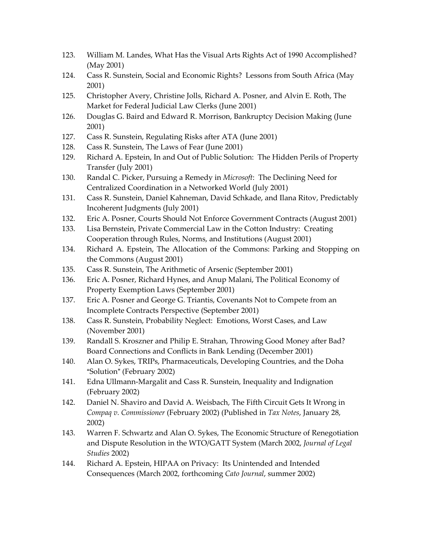- 123. William M. Landes, What Has the Visual Arts Rights Act of 1990 Accomplished? (May 2001)
- 124. Cass R. Sunstein, Social and Economic Rights? Lessons from South Africa (May 2001)
- 125. Christopher Avery, Christine Jolls, Richard A. Posner, and Alvin E. Roth, The Market for Federal Judicial Law Clerks (June 2001)
- 126. Douglas G. Baird and Edward R. Morrison, Bankruptcy Decision Making (June 2001)
- 127. Cass R. Sunstein, Regulating Risks after ATA (June 2001)
- 128. Cass R. Sunstein, The Laws of Fear (June 2001)
- 129. Richard A. Epstein, In and Out of Public Solution: The Hidden Perils of Property Transfer (July 2001)
- 130. Randal C. Picker, Pursuing a Remedy in *Microsoft*: The Declining Need for Centralized Coordination in a Networked World (July 2001)
- 131. Cass R. Sunstein, Daniel Kahneman, David Schkade, and Ilana Ritov, Predictably Incoherent Judgments (July 2001)
- 132. Eric A. Posner, Courts Should Not Enforce Government Contracts (August 2001)
- 133. Lisa Bernstein, Private Commercial Law in the Cotton Industry: Creating Cooperation through Rules, Norms, and Institutions (August 2001)
- 134. Richard A. Epstein, The Allocation of the Commons: Parking and Stopping on the Commons (August 2001)
- 135. Cass R. Sunstein, The Arithmetic of Arsenic (September 2001)
- 136. Eric A. Posner, Richard Hynes, and Anup Malani, The Political Economy of Property Exemption Laws (September 2001)
- 137. Eric A. Posner and George G. Triantis, Covenants Not to Compete from an Incomplete Contracts Perspective (September 2001)
- 138. Cass R. Sunstein, Probability Neglect: Emotions, Worst Cases, and Law (November 2001)
- 139. Randall S. Kroszner and Philip E. Strahan, Throwing Good Money after Bad? Board Connections and Conflicts in Bank Lending (December 2001)
- 140. Alan O. Sykes, TRIPs, Pharmaceuticals, Developing Countries, and the Doha "Solution" (February 2002)
- 141. Edna Ullmann-Margalit and Cass R. Sunstein, Inequality and Indignation (February 2002)
- 142. Daniel N. Shaviro and David A. Weisbach, The Fifth Circuit Gets It Wrong in *Compaq v. Commissioner* (February 2002) (Published in *Tax Notes*, January 28, 2002)
- 143. Warren F. Schwartz and Alan O. Sykes, The Economic Structure of Renegotiation and Dispute Resolution in the WTO/GATT System (March 2002, *Journal of Legal Studies* 2002)
- 144. Richard A. Epstein, HIPAA on Privacy: Its Unintended and Intended Consequences (March 2002, forthcoming *Cato Journal*, summer 2002)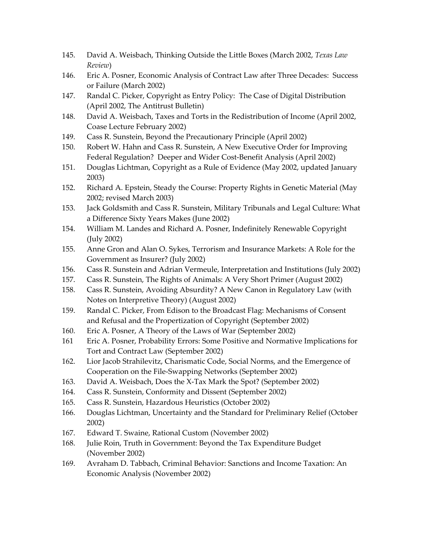- 145. David A. Weisbach, Thinking Outside the Little Boxes (March 2002, *Texas Law Review*)
- 146. Eric A. Posner, Economic Analysis of Contract Law after Three Decades: Success or Failure (March 2002)
- 147. Randal C. Picker, Copyright as Entry Policy: The Case of Digital Distribution (April 2002, The Antitrust Bulletin)
- 148. David A. Weisbach, Taxes and Torts in the Redistribution of Income (April 2002, Coase Lecture February 2002)
- 149. Cass R. Sunstein, Beyond the Precautionary Principle (April 2002)
- 150. Robert W. Hahn and Cass R. Sunstein, A New Executive Order for Improving Federal Regulation? Deeper and Wider Cost-Benefit Analysis (April 2002)
- 151. Douglas Lichtman, Copyright as a Rule of Evidence (May 2002, updated January 2003)
- 152. Richard A. Epstein, Steady the Course: Property Rights in Genetic Material (May 2002; revised March 2003)
- 153. Jack Goldsmith and Cass R. Sunstein, Military Tribunals and Legal Culture: What a Difference Sixty Years Makes (June 2002)
- 154. William M. Landes and Richard A. Posner, Indefinitely Renewable Copyright (July 2002)
- 155. Anne Gron and Alan O. Sykes, Terrorism and Insurance Markets: A Role for the Government as Insurer? (July 2002)
- 156. Cass R. Sunstein and Adrian Vermeule, Interpretation and Institutions (July 2002)
- 157. Cass R. Sunstein, The Rights of Animals: A Very Short Primer (August 2002)
- 158. Cass R. Sunstein, Avoiding Absurdity? A New Canon in Regulatory Law (with Notes on Interpretive Theory) (August 2002)
- 159. Randal C. Picker, From Edison to the Broadcast Flag: Mechanisms of Consent and Refusal and the Propertization of Copyright (September 2002)
- 160. Eric A. Posner, A Theory of the Laws of War (September 2002)
- 161 Eric A. Posner, Probability Errors: Some Positive and Normative Implications for Tort and Contract Law (September 2002)
- 162. Lior Jacob Strahilevitz, Charismatic Code, Social Norms, and the Emergence of Cooperation on the File-Swapping Networks (September 2002)
- 163. David A. Weisbach, Does the X-Tax Mark the Spot? (September 2002)
- 164. Cass R. Sunstein, Conformity and Dissent (September 2002)
- 165. Cass R. Sunstein, Hazardous Heuristics (October 2002)
- 166. Douglas Lichtman, Uncertainty and the Standard for Preliminary Relief (October 2002)
- 167. Edward T. Swaine, Rational Custom (November 2002)
- 168. Julie Roin, Truth in Government: Beyond the Tax Expenditure Budget (November 2002)
- 169. Avraham D. Tabbach, Criminal Behavior: Sanctions and Income Taxation: An Economic Analysis (November 2002)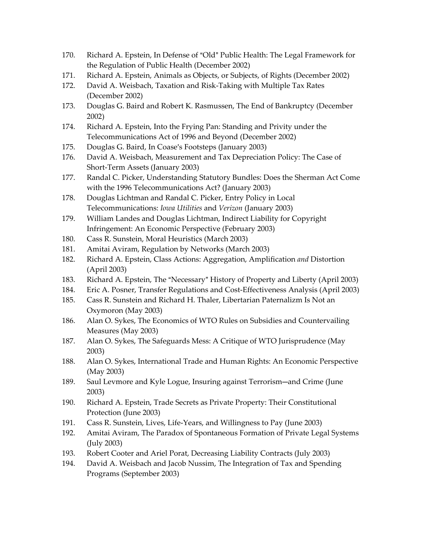- 170. Richard A. Epstein, In Defense of "Old" Public Health: The Legal Framework for the Regulation of Public Health (December 2002)
- 171. Richard A. Epstein, Animals as Objects, or Subjects, of Rights (December 2002)
- 172. David A. Weisbach, Taxation and Risk-Taking with Multiple Tax Rates (December 2002)
- 173. Douglas G. Baird and Robert K. Rasmussen, The End of Bankruptcy (December 2002)
- 174. Richard A. Epstein, Into the Frying Pan: Standing and Privity under the Telecommunications Act of 1996 and Beyond (December 2002)
- 175. Douglas G. Baird, In Coase's Footsteps (January 2003)
- 176. David A. Weisbach, Measurement and Tax Depreciation Policy: The Case of Short-Term Assets (January 2003)
- 177. Randal C. Picker, Understanding Statutory Bundles: Does the Sherman Act Come with the 1996 Telecommunications Act? (January 2003)
- 178. Douglas Lichtman and Randal C. Picker, Entry Policy in Local Telecommunications: *Iowa Utilities* and *Verizon* (January 2003)
- 179. William Landes and Douglas Lichtman, Indirect Liability for Copyright Infringement: An Economic Perspective (February 2003)
- 180. Cass R. Sunstein, Moral Heuristics (March 2003)
- 181. Amitai Aviram, Regulation by Networks (March 2003)
- 182. Richard A. Epstein, Class Actions: Aggregation, Amplification *and* Distortion (April 2003)
- 183. Richard A. Epstein, The "Necessary" History of Property and Liberty (April 2003)
- 184. Eric A. Posner, Transfer Regulations and Cost-Effectiveness Analysis (April 2003)
- 185. Cass R. Sunstein and Richard H. Thaler, Libertarian Paternalizm Is Not an Oxymoron (May 2003)
- 186. Alan O. Sykes, The Economics of WTO Rules on Subsidies and Countervailing Measures (May 2003)
- 187. Alan O. Sykes, The Safeguards Mess: A Critique of WTO Jurisprudence (May 2003)
- 188. Alan O. Sykes, International Trade and Human Rights: An Economic Perspective (May 2003)
- 189. Saul Levmore and Kyle Logue, Insuring against Terrorism—and Crime (June 2003)
- 190. Richard A. Epstein, Trade Secrets as Private Property: Their Constitutional Protection (June 2003)
- 191. Cass R. Sunstein, Lives, Life-Years, and Willingness to Pay (June 2003)
- 192. Amitai Aviram, The Paradox of Spontaneous Formation of Private Legal Systems (July 2003)
- 193. Robert Cooter and Ariel Porat, Decreasing Liability Contracts (July 2003)
- 194. David A. Weisbach and Jacob Nussim, The Integration of Tax and Spending Programs (September 2003)